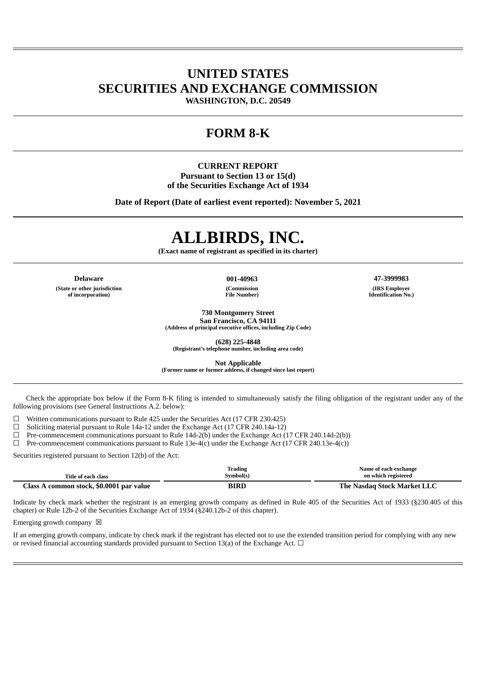# **UNITED STATES SECURITIES AND EXCHANGE COMMISSION**

**WASHINGTON, D.C. 20549**

# **FORM 8-K**

**CURRENT REPORT Pursuant to Section 13 or 15(d) of the Securities Exchange Act of 1934**

**Date of Report (Date of earliest event reported): November 5, 2021**

# **ALLBIRDS, INC.**

**(Exact name of registrant as specified in its charter)**

**Delaware 001-40963 47-3999983 (State or other jurisdiction of incorporation)**

**(Commission File Number)**

**(IRS Employer Identification No.)**

**730 Montgomery Street San Francisco, CA 94111**

**(Address of principal executive offices, including Zip Code)**

**(628) 225-4848 (Registrant's telephone number, including area code)**

**Not Applicable**

**(Former name or former address, if changed since last report)**

Check the appropriate box below if the Form 8-K filing is intended to simultaneously satisfy the filing obligation of the registrant under any of the following provisions (see General Instructions A.2. below):

 $\Box$  Written communications pursuant to Rule 425 under the Securities Act (17 CFR 230.425)  $\Box$  Soliciting material pursuant to Rule 14a-12 under the Exchange Act (17 CFR 240 14a-12)

Soliciting material pursuant to Rule 14a-12 under the Exchange Act (17 CFR 240.14a-12)

 $\Box$  Pre-commencement communications pursuant to Rule 14d-2(b) under the Exchange Act (17 CFR 240.14d-2(b))  $\Box$  Pre-commencement communications pursuant to Rule 13e-4(c) under the Exchange Act (17 CFR 240.13e-4(c))

Pre-commencement communications pursuant to Rule 13e-4(c) under the Exchange Act (17 CFR 240.13e-4(c))

Securities registered pursuant to Section 12(b) of the Act:

|                                          | <b>Trading</b> | Name of each exchange       |
|------------------------------------------|----------------|-----------------------------|
| Title of each class                      | Symbol(s)      | on which registered         |
| Class A common stock, \$0.0001 par value | <b>BIRD</b>    | The Nasdag Stock Market LLC |

Indicate by check mark whether the registrant is an emerging growth company as defined in Rule 405 of the Securities Act of 1933 (§230.405 of this chapter) or Rule 12b-2 of the Securities Exchange Act of 1934 (§240.12b-2 of this chapter).

Emerging growth company  $\boxtimes$ 

If an emerging growth company, indicate by check mark if the registrant has elected not to use the extended transition period for complying with any new or revised financial accounting standards provided pursuant to Section 13(a) of the Exchange Act.  $\Box$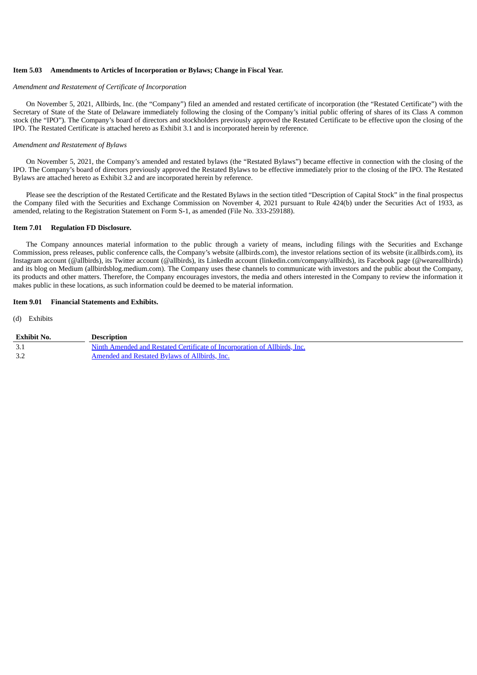# **Item 5.03 Amendments to Articles of Incorporation or Bylaws; Change in Fiscal Year.**

#### *Amendment and Restatement of Certificate of Incorporation*

On November 5, 2021, Allbirds, Inc. (the "Company") filed an amended and restated certificate of incorporation (the "Restated Certificate") with the Secretary of State of the State of Delaware immediately following the closing of the Company's initial public offering of shares of its Class A common stock (the "IPO"). The Company's board of directors and stockholders previously approved the Restated Certificate to be effective upon the closing of the IPO. The Restated Certificate is attached hereto as Exhibit 3.1 and is incorporated herein by reference.

#### *Amendment and Restatement of Bylaws*

On November 5, 2021, the Company's amended and restated bylaws (the "Restated Bylaws") became effective in connection with the closing of the IPO. The Company's board of directors previously approved the Restated Bylaws to be effective immediately prior to the closing of the IPO. The Restated Bylaws are attached hereto as Exhibit 3.2 and are incorporated herein by reference.

Please see the description of the Restated Certificate and the Restated Bylaws in the section titled "Description of Capital Stock" in the final prospectus the Company filed with the Securities and Exchange Commission on November 4, 2021 pursuant to Rule 424(b) under the Securities Act of 1933, as amended, relating to the Registration Statement on Form S-1, as amended (File No. 333-259188).

#### **Item 7.01 Regulation FD Disclosure.**

The Company announces material information to the public through a variety of means, including filings with the Securities and Exchange Commission, press releases, public conference calls, the Company's website (allbirds.com), the investor relations section of its website (ir.allbirds.com), its Instagram account (@allbirds), its Twitter account (@allbirds), its LinkedIn account (linkedin.com/company/allbirds), its Facebook page (@weareallbirds) and its blog on Medium (allbirdsblog.medium.com). The Company uses these channels to communicate with investors and the public about the Company, its products and other matters. Therefore, the Company encourages investors, the media and others interested in the Company to review the information it makes public in these locations, as such information could be deemed to be material information.

#### **Item 9.01 Financial Statements and Exhibits.**

(d) Exhibits

| Exhibit No. | <b>Description</b>                                                        |
|-------------|---------------------------------------------------------------------------|
| - 3.1       | Ninth Amended and Restated Certificate of Incorporation of Allbirds, Inc. |
| - 3.2       | <b>Amended and Restated Bylaws of Allbirds, Inc.</b>                      |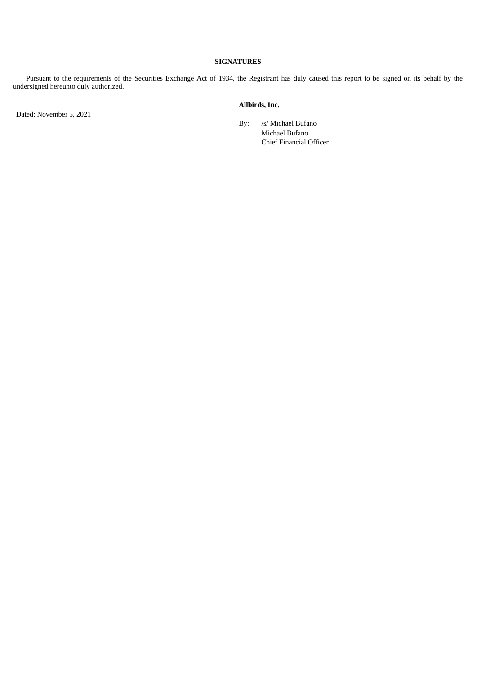# **SIGNATURES**

Pursuant to the requirements of the Securities Exchange Act of 1934, the Registrant has duly caused this report to be signed on its behalf by the undersigned hereunto duly authorized.

**Allbirds, Inc.**

Dated: November 5, 2021

By: /s/ Michael Bufano

Michael Bufano Chief Financial Officer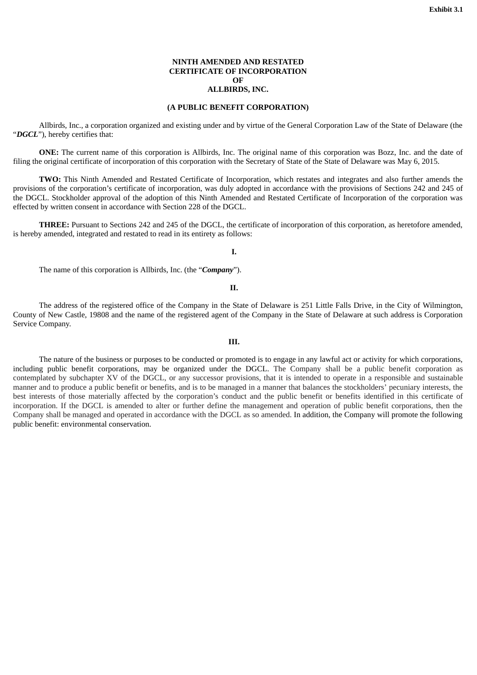# **NINTH AMENDED AND RESTATED CERTIFICATE OF INCORPORATION OF ALLBIRDS, INC.**

#### **(A PUBLIC BENEFIT CORPORATION)**

<span id="page-3-0"></span>Allbirds, Inc., a corporation organized and existing under and by virtue of the General Corporation Law of the State of Delaware (the "*DGCL*"), hereby certifies that:

**ONE:** The current name of this corporation is Allbirds, Inc. The original name of this corporation was Bozz, Inc. and the date of filing the original certificate of incorporation of this corporation with the Secretary of State of the State of Delaware was May 6, 2015.

**TWO:** This Ninth Amended and Restated Certificate of Incorporation, which restates and integrates and also further amends the provisions of the corporation's certificate of incorporation, was duly adopted in accordance with the provisions of Sections 242 and 245 of the DGCL. Stockholder approval of the adoption of this Ninth Amended and Restated Certificate of Incorporation of the corporation was effected by written consent in accordance with Section 228 of the DGCL.

**THREE:** Pursuant to Sections 242 and 245 of the DGCL, the certificate of incorporation of this corporation, as heretofore amended, is hereby amended, integrated and restated to read in its entirety as follows:

**I.**

The name of this corporation is Allbirds, Inc. (the "*Company*").

#### **II.**

The address of the registered office of the Company in the State of Delaware is 251 Little Falls Drive, in the City of Wilmington, County of New Castle, 19808 and the name of the registered agent of the Company in the State of Delaware at such address is Corporation Service Company.

#### **III.**

The nature of the business or purposes to be conducted or promoted is to engage in any lawful act or activity for which corporations, including public benefit corporations, may be organized under the DGCL. The Company shall be a public benefit corporation as contemplated by subchapter XV of the DGCL, or any successor provisions, that it is intended to operate in a responsible and sustainable manner and to produce a public benefit or benefits, and is to be managed in a manner that balances the stockholders' pecuniary interests, the best interests of those materially affected by the corporation's conduct and the public benefit or benefits identified in this certificate of incorporation. If the DGCL is amended to alter or further define the management and operation of public benefit corporations, then the Company shall be managed and operated in accordance with the DGCL as so amended. In addition, the Company will promote the following public benefit: environmental conservation.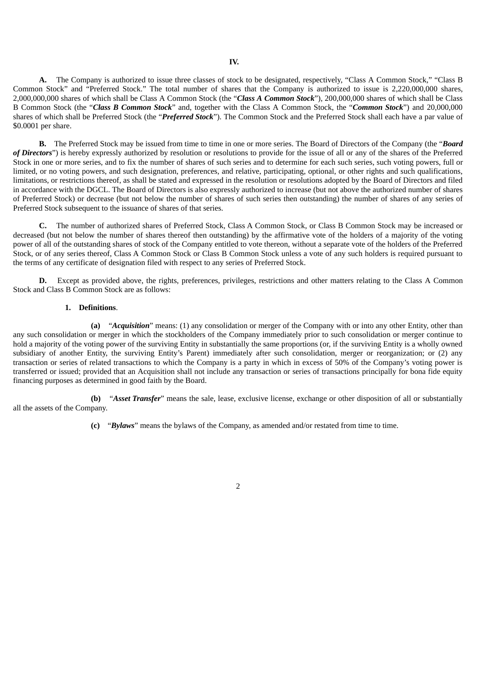**A.** The Company is authorized to issue three classes of stock to be designated, respectively, "Class A Common Stock," "Class B Common Stock" and "Preferred Stock." The total number of shares that the Company is authorized to issue is 2,220,000,000 shares, 2,000,000,000 shares of which shall be Class A Common Stock (the "*Class A Common Stock*"), 200,000,000 shares of which shall be Class B Common Stock (the "*Class B Common Stock*" and, together with the Class A Common Stock, the "*Common Stock*") and 20,000,000 shares of which shall be Preferred Stock (the "*Preferred Stock*"). The Common Stock and the Preferred Stock shall each have a par value of \$0.0001 per share.

**B.** The Preferred Stock may be issued from time to time in one or more series. The Board of Directors of the Company (the "*Board of Directors*") is hereby expressly authorized by resolution or resolutions to provide for the issue of all or any of the shares of the Preferred Stock in one or more series, and to fix the number of shares of such series and to determine for each such series, such voting powers, full or limited, or no voting powers, and such designation, preferences, and relative, participating, optional, or other rights and such qualifications, limitations, or restrictions thereof, as shall be stated and expressed in the resolution or resolutions adopted by the Board of Directors and filed in accordance with the DGCL. The Board of Directors is also expressly authorized to increase (but not above the authorized number of shares of Preferred Stock) or decrease (but not below the number of shares of such series then outstanding) the number of shares of any series of Preferred Stock subsequent to the issuance of shares of that series.

**C.** The number of authorized shares of Preferred Stock, Class A Common Stock, or Class B Common Stock may be increased or decreased (but not below the number of shares thereof then outstanding) by the affirmative vote of the holders of a majority of the voting power of all of the outstanding shares of stock of the Company entitled to vote thereon, without a separate vote of the holders of the Preferred Stock, or of any series thereof, Class A Common Stock or Class B Common Stock unless a vote of any such holders is required pursuant to the terms of any certificate of designation filed with respect to any series of Preferred Stock.

**D.** Except as provided above, the rights, preferences, privileges, restrictions and other matters relating to the Class A Common Stock and Class B Common Stock are as follows:

#### **1. Definitions**.

**(a)** "*Acquisition*" means: (1) any consolidation or merger of the Company with or into any other Entity, other than any such consolidation or merger in which the stockholders of the Company immediately prior to such consolidation or merger continue to hold a majority of the voting power of the surviving Entity in substantially the same proportions (or, if the surviving Entity is a wholly owned subsidiary of another Entity, the surviving Entity's Parent) immediately after such consolidation, merger or reorganization; or (2) any transaction or series of related transactions to which the Company is a party in which in excess of 50% of the Company's voting power is transferred or issued; provided that an Acquisition shall not include any transaction or series of transactions principally for bona fide equity financing purposes as determined in good faith by the Board.

**(b)** "*Asset Transfer*" means the sale, lease, exclusive license, exchange or other disposition of all or substantially all the assets of the Company.

**(c)** "*Bylaws*" means the bylaws of the Company, as amended and/or restated from time to time.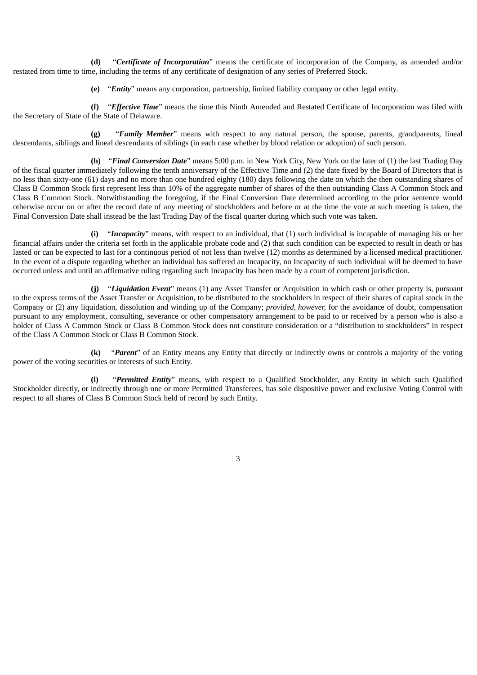**(d)** "*Certificate of Incorporation*" means the certificate of incorporation of the Company, as amended and/or restated from time to time, including the terms of any certificate of designation of any series of Preferred Stock.

**(e)** "*Entity*" means any corporation, partnership, limited liability company or other legal entity.

**(f)** "*Effective Time*" means the time this Ninth Amended and Restated Certificate of Incorporation was filed with the Secretary of State of the State of Delaware.

**(g)** "*Family Member*" means with respect to any natural person, the spouse, parents, grandparents, lineal descendants, siblings and lineal descendants of siblings (in each case whether by blood relation or adoption) of such person.

**(h)** "*Final Conversion Date*" means 5:00 p.m. in New York City, New York on the later of (1) the last Trading Day of the fiscal quarter immediately following the tenth anniversary of the Effective Time and (2) the date fixed by the Board of Directors that is no less than sixty-one (61) days and no more than one hundred eighty (180) days following the date on which the then outstanding shares of Class B Common Stock first represent less than 10% of the aggregate number of shares of the then outstanding Class A Common Stock and Class B Common Stock. Notwithstanding the foregoing, if the Final Conversion Date determined according to the prior sentence would otherwise occur on or after the record date of any meeting of stockholders and before or at the time the vote at such meeting is taken, the Final Conversion Date shall instead be the last Trading Day of the fiscal quarter during which such vote was taken.

**(i)** "*Incapacity*" means, with respect to an individual, that (1) such individual is incapable of managing his or her financial affairs under the criteria set forth in the applicable probate code and (2) that such condition can be expected to result in death or has lasted or can be expected to last for a continuous period of not less than twelve (12) months as determined by a licensed medical practitioner. In the event of a dispute regarding whether an individual has suffered an Incapacity, no Incapacity of such individual will be deemed to have occurred unless and until an affirmative ruling regarding such Incapacity has been made by a court of competent jurisdiction.

**(j)** "*Liquidation Event*" means (1) any Asset Transfer or Acquisition in which cash or other property is, pursuant to the express terms of the Asset Transfer or Acquisition, to be distributed to the stockholders in respect of their shares of capital stock in the Company or (2) any liquidation, dissolution and winding up of the Company; *provided, however,* for the avoidance of doubt, compensation pursuant to any employment, consulting, severance or other compensatory arrangement to be paid to or received by a person who is also a holder of Class A Common Stock or Class B Common Stock does not constitute consideration or a "distribution to stockholders" in respect of the Class A Common Stock or Class B Common Stock.

**(k)** "*Parent*" of an Entity means any Entity that directly or indirectly owns or controls a majority of the voting power of the voting securities or interests of such Entity.

**(l)** "*Permitted Entity*" means, with respect to a Qualified Stockholder, any Entity in which such Qualified Stockholder directly, or indirectly through one or more Permitted Transferees, has sole dispositive power and exclusive Voting Control with respect to all shares of Class B Common Stock held of record by such Entity.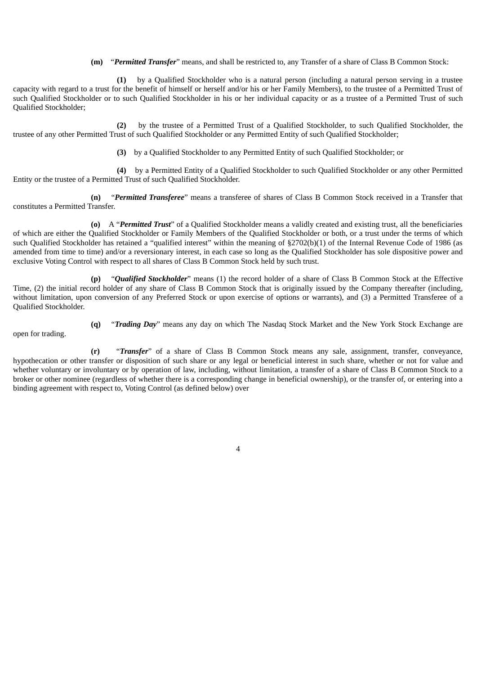#### **(m)** "*Permitted Transfer*" means, and shall be restricted to, any Transfer of a share of Class B Common Stock:

**(1)** by a Qualified Stockholder who is a natural person (including a natural person serving in a trustee capacity with regard to a trust for the benefit of himself or herself and/or his or her Family Members), to the trustee of a Permitted Trust of such Qualified Stockholder or to such Qualified Stockholder in his or her individual capacity or as a trustee of a Permitted Trust of such Qualified Stockholder;

**(2)** by the trustee of a Permitted Trust of a Qualified Stockholder, to such Qualified Stockholder, the trustee of any other Permitted Trust of such Qualified Stockholder or any Permitted Entity of such Qualified Stockholder;

**(3)** by a Qualified Stockholder to any Permitted Entity of such Qualified Stockholder; or

**(4)** by a Permitted Entity of a Qualified Stockholder to such Qualified Stockholder or any other Permitted Entity or the trustee of a Permitted Trust of such Qualified Stockholder.

**(n)** "*Permitted Transferee*" means a transferee of shares of Class B Common Stock received in a Transfer that constitutes a Permitted Transfer.

**(o)** A "*Permitted Trust*" of a Qualified Stockholder means a validly created and existing trust, all the beneficiaries of which are either the Qualified Stockholder or Family Members of the Qualified Stockholder or both, or a trust under the terms of which such Qualified Stockholder has retained a "qualified interest" within the meaning of §2702(b)(1) of the Internal Revenue Code of 1986 (as amended from time to time) and/or a reversionary interest, in each case so long as the Qualified Stockholder has sole dispositive power and exclusive Voting Control with respect to all shares of Class B Common Stock held by such trust.

**(p)** "*Qualified Stockholder*" means (1) the record holder of a share of Class B Common Stock at the Effective Time, (2) the initial record holder of any share of Class B Common Stock that is originally issued by the Company thereafter (including, without limitation, upon conversion of any Preferred Stock or upon exercise of options or warrants), and (3) a Permitted Transferee of a Qualified Stockholder.

open for trading.

**(q)** "*Trading Day*" means any day on which The Nasdaq Stock Market and the New York Stock Exchange are

**(r)** "*Transfer*" of a share of Class B Common Stock means any sale, assignment, transfer, conveyance, hypothecation or other transfer or disposition of such share or any legal or beneficial interest in such share, whether or not for value and whether voluntary or involuntary or by operation of law, including, without limitation, a transfer of a share of Class B Common Stock to a broker or other nominee (regardless of whether there is a corresponding change in beneficial ownership), or the transfer of, or entering into a binding agreement with respect to, Voting Control (as defined below) over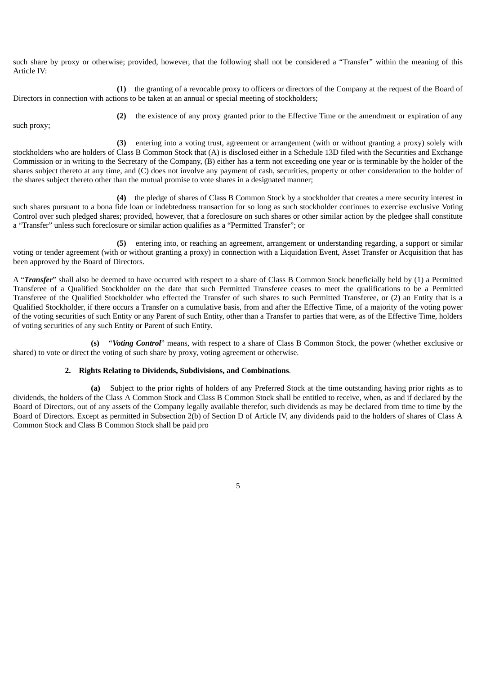such share by proxy or otherwise; provided, however, that the following shall not be considered a "Transfer" within the meaning of this Article IV:

**(1)** the granting of a revocable proxy to officers or directors of the Company at the request of the Board of Directors in connection with actions to be taken at an annual or special meeting of stockholders;

such proxy;

**(2)** the existence of any proxy granted prior to the Effective Time or the amendment or expiration of any

**(3)** entering into a voting trust, agreement or arrangement (with or without granting a proxy) solely with stockholders who are holders of Class B Common Stock that (A) is disclosed either in a Schedule 13D filed with the Securities and Exchange Commission or in writing to the Secretary of the Company, (B) either has a term not exceeding one year or is terminable by the holder of the shares subject thereto at any time, and (C) does not involve any payment of cash, securities, property or other consideration to the holder of the shares subject thereto other than the mutual promise to vote shares in a designated manner;

**(4)** the pledge of shares of Class B Common Stock by a stockholder that creates a mere security interest in such shares pursuant to a bona fide loan or indebtedness transaction for so long as such stockholder continues to exercise exclusive Voting Control over such pledged shares; provided, however, that a foreclosure on such shares or other similar action by the pledgee shall constitute a "Transfer" unless such foreclosure or similar action qualifies as a "Permitted Transfer"; or

**(5)** entering into, or reaching an agreement, arrangement or understanding regarding, a support or similar voting or tender agreement (with or without granting a proxy) in connection with a Liquidation Event, Asset Transfer or Acquisition that has been approved by the Board of Directors.

A "*Transfer*" shall also be deemed to have occurred with respect to a share of Class B Common Stock beneficially held by (1) a Permitted Transferee of a Qualified Stockholder on the date that such Permitted Transferee ceases to meet the qualifications to be a Permitted Transferee of the Qualified Stockholder who effected the Transfer of such shares to such Permitted Transferee, or (2) an Entity that is a Qualified Stockholder, if there occurs a Transfer on a cumulative basis, from and after the Effective Time, of a majority of the voting power of the voting securities of such Entity or any Parent of such Entity, other than a Transfer to parties that were, as of the Effective Time, holders of voting securities of any such Entity or Parent of such Entity.

**(s)** "*Voting Control*" means, with respect to a share of Class B Common Stock, the power (whether exclusive or shared) to vote or direct the voting of such share by proxy, voting agreement or otherwise.

# **2. Rights Relating to Dividends, Subdivisions, and Combinations**.

**(a)** Subject to the prior rights of holders of any Preferred Stock at the time outstanding having prior rights as to dividends, the holders of the Class A Common Stock and Class B Common Stock shall be entitled to receive, when, as and if declared by the Board of Directors, out of any assets of the Company legally available therefor, such dividends as may be declared from time to time by the Board of Directors. Except as permitted in Subsection 2(b) of Section D of Article IV, any dividends paid to the holders of shares of Class A Common Stock and Class B Common Stock shall be paid pro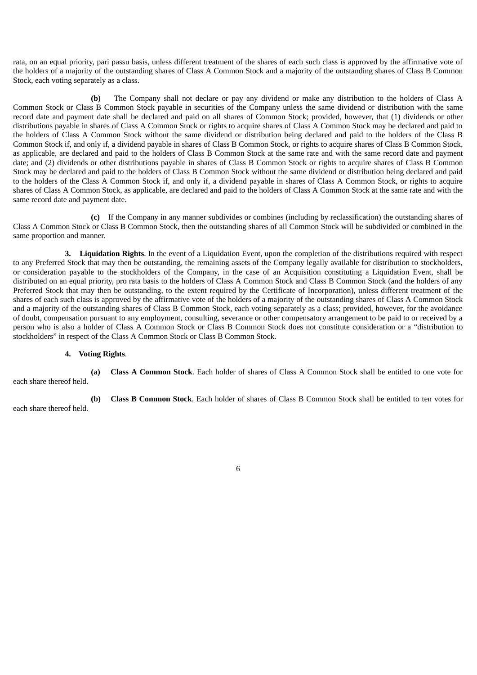rata, on an equal priority, pari passu basis, unless different treatment of the shares of each such class is approved by the affirmative vote of the holders of a majority of the outstanding shares of Class A Common Stock and a majority of the outstanding shares of Class B Common Stock, each voting separately as a class.

**(b)** The Company shall not declare or pay any dividend or make any distribution to the holders of Class A Common Stock or Class B Common Stock payable in securities of the Company unless the same dividend or distribution with the same record date and payment date shall be declared and paid on all shares of Common Stock; provided, however, that (1) dividends or other distributions payable in shares of Class A Common Stock or rights to acquire shares of Class A Common Stock may be declared and paid to the holders of Class A Common Stock without the same dividend or distribution being declared and paid to the holders of the Class B Common Stock if, and only if, a dividend payable in shares of Class B Common Stock, or rights to acquire shares of Class B Common Stock, as applicable, are declared and paid to the holders of Class B Common Stock at the same rate and with the same record date and payment date; and (2) dividends or other distributions payable in shares of Class B Common Stock or rights to acquire shares of Class B Common Stock may be declared and paid to the holders of Class B Common Stock without the same dividend or distribution being declared and paid to the holders of the Class A Common Stock if, and only if, a dividend payable in shares of Class A Common Stock, or rights to acquire shares of Class A Common Stock, as applicable, are declared and paid to the holders of Class A Common Stock at the same rate and with the same record date and payment date.

**(c)** If the Company in any manner subdivides or combines (including by reclassification) the outstanding shares of Class A Common Stock or Class B Common Stock, then the outstanding shares of all Common Stock will be subdivided or combined in the same proportion and manner.

**3. Liquidation Rights**. In the event of a Liquidation Event, upon the completion of the distributions required with respect to any Preferred Stock that may then be outstanding, the remaining assets of the Company legally available for distribution to stockholders, or consideration payable to the stockholders of the Company, in the case of an Acquisition constituting a Liquidation Event, shall be distributed on an equal priority, pro rata basis to the holders of Class A Common Stock and Class B Common Stock (and the holders of any Preferred Stock that may then be outstanding, to the extent required by the Certificate of Incorporation), unless different treatment of the shares of each such class is approved by the affirmative vote of the holders of a majority of the outstanding shares of Class A Common Stock and a majority of the outstanding shares of Class B Common Stock, each voting separately as a class; provided, however, for the avoidance of doubt, compensation pursuant to any employment, consulting, severance or other compensatory arrangement to be paid to or received by a person who is also a holder of Class A Common Stock or Class B Common Stock does not constitute consideration or a "distribution to stockholders" in respect of the Class A Common Stock or Class B Common Stock.

# **4. Voting Rights**.

**(a) Class A Common Stock**. Each holder of shares of Class A Common Stock shall be entitled to one vote for

each share thereof held.

**(b) Class B Common Stock**. Each holder of shares of Class B Common Stock shall be entitled to ten votes for each share thereof held.

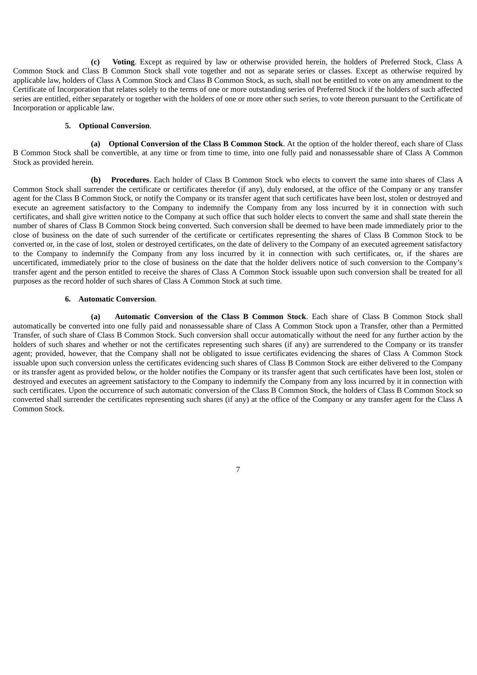**(c) Voting**. Except as required by law or otherwise provided herein, the holders of Preferred Stock, Class A Common Stock and Class B Common Stock shall vote together and not as separate series or classes. Except as otherwise required by applicable law, holders of Class A Common Stock and Class B Common Stock, as such, shall not be entitled to vote on any amendment to the Certificate of Incorporation that relates solely to the terms of one or more outstanding series of Preferred Stock if the holders of such affected series are entitled, either separately or together with the holders of one or more other such series, to vote thereon pursuant to the Certificate of Incorporation or applicable law.

# **5. Optional Conversion**.

**(a) Optional Conversion of the Class B Common Stock**. At the option of the holder thereof, each share of Class B Common Stock shall be convertible, at any time or from time to time, into one fully paid and nonassessable share of Class A Common Stock as provided herein.

**(b) Procedures**. Each holder of Class B Common Stock who elects to convert the same into shares of Class A Common Stock shall surrender the certificate or certificates therefor (if any), duly endorsed, at the office of the Company or any transfer agent for the Class B Common Stock, or notify the Company or its transfer agent that such certificates have been lost, stolen or destroyed and execute an agreement satisfactory to the Company to indemnify the Company from any loss incurred by it in connection with such certificates, and shall give written notice to the Company at such office that such holder elects to convert the same and shall state therein the number of shares of Class B Common Stock being converted. Such conversion shall be deemed to have been made immediately prior to the close of business on the date of such surrender of the certificate or certificates representing the shares of Class B Common Stock to be converted or, in the case of lost, stolen or destroyed certificates, on the date of delivery to the Company of an executed agreement satisfactory to the Company to indemnify the Company from any loss incurred by it in connection with such certificates, or, if the shares are uncertificated, immediately prior to the close of business on the date that the holder delivers notice of such conversion to the Company's transfer agent and the person entitled to receive the shares of Class A Common Stock issuable upon such conversion shall be treated for all purposes as the record holder of such shares of Class A Common Stock at such time.

#### **6. Automatic Conversion**.

**(a) Automatic Conversion of the Class B Common Stock**. Each share of Class B Common Stock shall automatically be converted into one fully paid and nonassessable share of Class A Common Stock upon a Transfer, other than a Permitted Transfer, of such share of Class B Common Stock. Such conversion shall occur automatically without the need for any further action by the holders of such shares and whether or not the certificates representing such shares (if any) are surrendered to the Company or its transfer agent; provided, however, that the Company shall not be obligated to issue certificates evidencing the shares of Class A Common Stock issuable upon such conversion unless the certificates evidencing such shares of Class B Common Stock are either delivered to the Company or its transfer agent as provided below, or the holder notifies the Company or its transfer agent that such certificates have been lost, stolen or destroyed and executes an agreement satisfactory to the Company to indemnify the Company from any loss incurred by it in connection with such certificates. Upon the occurrence of such automatic conversion of the Class B Common Stock, the holders of Class B Common Stock so converted shall surrender the certificates representing such shares (if any) at the office of the Company or any transfer agent for the Class A Common Stock.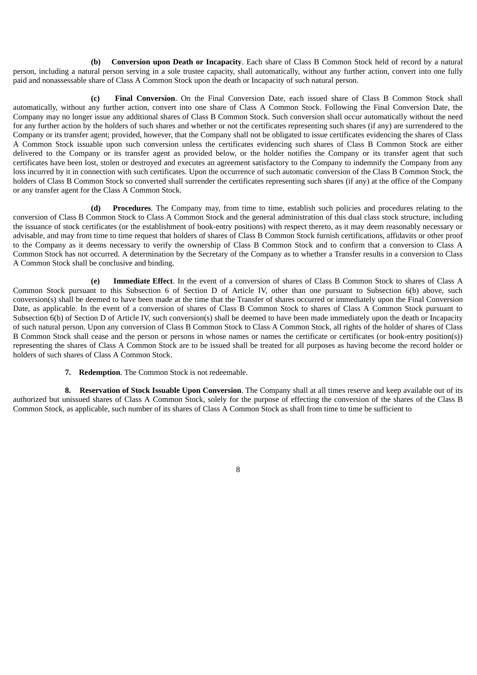**(b) Conversion upon Death or Incapacity**. Each share of Class B Common Stock held of record by a natural person, including a natural person serving in a sole trustee capacity, shall automatically, without any further action, convert into one fully paid and nonassessable share of Class A Common Stock upon the death or Incapacity of such natural person.

**(c) Final Conversion**. On the Final Conversion Date, each issued share of Class B Common Stock shall automatically, without any further action, convert into one share of Class A Common Stock. Following the Final Conversion Date, the Company may no longer issue any additional shares of Class B Common Stock. Such conversion shall occur automatically without the need for any further action by the holders of such shares and whether or not the certificates representing such shares (if any) are surrendered to the Company or its transfer agent; provided, however, that the Company shall not be obligated to issue certificates evidencing the shares of Class A Common Stock issuable upon such conversion unless the certificates evidencing such shares of Class B Common Stock are either delivered to the Company or its transfer agent as provided below, or the holder notifies the Company or its transfer agent that such certificates have been lost, stolen or destroyed and executes an agreement satisfactory to the Company to indemnify the Company from any loss incurred by it in connection with such certificates. Upon the occurrence of such automatic conversion of the Class B Common Stock, the holders of Class B Common Stock so converted shall surrender the certificates representing such shares (if any) at the office of the Company or any transfer agent for the Class A Common Stock.

**(d) Procedures**. The Company may, from time to time, establish such policies and procedures relating to the conversion of Class B Common Stock to Class A Common Stock and the general administration of this dual class stock structure, including the issuance of stock certificates (or the establishment of book-entry positions) with respect thereto, as it may deem reasonably necessary or advisable, and may from time to time request that holders of shares of Class B Common Stock furnish certifications, affidavits or other proof to the Company as it deems necessary to verify the ownership of Class B Common Stock and to confirm that a conversion to Class A Common Stock has not occurred. A determination by the Secretary of the Company as to whether a Transfer results in a conversion to Class A Common Stock shall be conclusive and binding.

**(e) Immediate Effect**. In the event of a conversion of shares of Class B Common Stock to shares of Class A Common Stock pursuant to this Subsection 6 of Section D of Article IV, other than one pursuant to Subsection 6(b) above, such conversion(s) shall be deemed to have been made at the time that the Transfer of shares occurred or immediately upon the Final Conversion Date, as applicable. In the event of a conversion of shares of Class B Common Stock to shares of Class A Common Stock pursuant to Subsection 6(b) of Section D of Article IV, such conversion(s) shall be deemed to have been made immediately upon the death or Incapacity of such natural person. Upon any conversion of Class B Common Stock to Class A Common Stock, all rights of the holder of shares of Class B Common Stock shall cease and the person or persons in whose names or names the certificate or certificates (or book-entry position(s)) representing the shares of Class A Common Stock are to be issued shall be treated for all purposes as having become the record holder or holders of such shares of Class A Common Stock.

**7. Redemption**. The Common Stock is not redeemable.

**8. Reservation of Stock Issuable Upon Conversion**. The Company shall at all times reserve and keep available out of its authorized but unissued shares of Class A Common Stock, solely for the purpose of effecting the conversion of the shares of the Class B Common Stock, as applicable, such number of its shares of Class A Common Stock as shall from time to time be sufficient to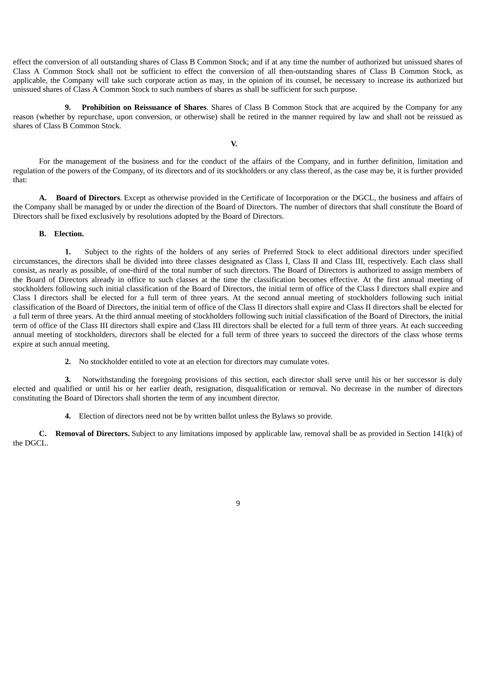effect the conversion of all outstanding shares of Class B Common Stock; and if at any time the number of authorized but unissued shares of Class A Common Stock shall not be sufficient to effect the conversion of all then-outstanding shares of Class B Common Stock, as applicable, the Company will take such corporate action as may, in the opinion of its counsel, be necessary to increase its authorized but unissued shares of Class A Common Stock to such numbers of shares as shall be sufficient for such purpose.

**9. Prohibition on Reissuance of Shares**. Shares of Class B Common Stock that are acquired by the Company for any reason (whether by repurchase, upon conversion, or otherwise) shall be retired in the manner required by law and shall not be reissued as shares of Class B Common Stock.

**V.**

For the management of the business and for the conduct of the affairs of the Company, and in further definition, limitation and regulation of the powers of the Company, of its directors and of its stockholders or any class thereof, as the case may be, it is further provided that:

**A. Board of Directors**. Except as otherwise provided in the Certificate of Incorporation or the DGCL, the business and affairs of the Company shall be managed by or under the direction of the Board of Directors. The number of directors that shall constitute the Board of Directors shall be fixed exclusively by resolutions adopted by the Board of Directors.

# **B. Election.**

**1.** Subject to the rights of the holders of any series of Preferred Stock to elect additional directors under specified circumstances, the directors shall be divided into three classes designated as Class I, Class II and Class III, respectively. Each class shall consist, as nearly as possible, of one-third of the total number of such directors. The Board of Directors is authorized to assign members of the Board of Directors already in office to such classes at the time the classification becomes effective. At the first annual meeting of stockholders following such initial classification of the Board of Directors, the initial term of office of the Class I directors shall expire and Class I directors shall be elected for a full term of three years. At the second annual meeting of stockholders following such initial classification of the Board of Directors, the initial term of office of the Class II directors shall expire and Class II directors shall be elected for a full term of three years. At the third annual meeting of stockholders following such initial classification of the Board of Directors, the initial term of office of the Class III directors shall expire and Class III directors shall be elected for a full term of three years. At each succeeding annual meeting of stockholders, directors shall be elected for a full term of three years to succeed the directors of the class whose terms expire at such annual meeting.

**2.** No stockholder entitled to vote at an election for directors may cumulate votes.

**3.** Notwithstanding the foregoing provisions of this section, each director shall serve until his or her successor is duly elected and qualified or until his or her earlier death, resignation, disqualification or removal. No decrease in the number of directors constituting the Board of Directors shall shorten the term of any incumbent director.

**4.** Election of directors need not be by written ballot unless the Bylaws so provide.

**C. Removal of Directors.** Subject to any limitations imposed by applicable law, removal shall be as provided in Section 141(k) of the DGCL.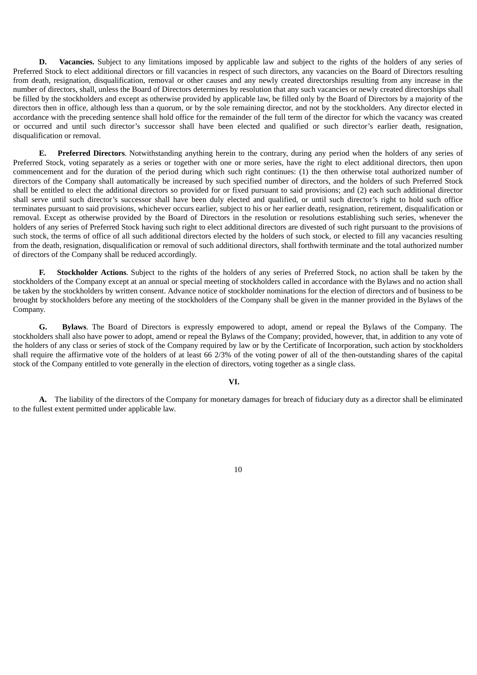**D. Vacancies.** Subject to any limitations imposed by applicable law and subject to the rights of the holders of any series of Preferred Stock to elect additional directors or fill vacancies in respect of such directors, any vacancies on the Board of Directors resulting from death, resignation, disqualification, removal or other causes and any newly created directorships resulting from any increase in the number of directors, shall, unless the Board of Directors determines by resolution that any such vacancies or newly created directorships shall be filled by the stockholders and except as otherwise provided by applicable law, be filled only by the Board of Directors by a majority of the directors then in office, although less than a quorum, or by the sole remaining director, and not by the stockholders. Any director elected in accordance with the preceding sentence shall hold office for the remainder of the full term of the director for which the vacancy was created or occurred and until such director's successor shall have been elected and qualified or such director's earlier death, resignation, disqualification or removal.

**E. Preferred Directors**. Notwithstanding anything herein to the contrary, during any period when the holders of any series of Preferred Stock, voting separately as a series or together with one or more series, have the right to elect additional directors, then upon commencement and for the duration of the period during which such right continues: (1) the then otherwise total authorized number of directors of the Company shall automatically be increased by such specified number of directors, and the holders of such Preferred Stock shall be entitled to elect the additional directors so provided for or fixed pursuant to said provisions; and (2) each such additional director shall serve until such director's successor shall have been duly elected and qualified, or until such director's right to hold such office terminates pursuant to said provisions, whichever occurs earlier, subject to his or her earlier death, resignation, retirement, disqualification or removal. Except as otherwise provided by the Board of Directors in the resolution or resolutions establishing such series, whenever the holders of any series of Preferred Stock having such right to elect additional directors are divested of such right pursuant to the provisions of such stock, the terms of office of all such additional directors elected by the holders of such stock, or elected to fill any vacancies resulting from the death, resignation, disqualification or removal of such additional directors, shall forthwith terminate and the total authorized number of directors of the Company shall be reduced accordingly.

**F. Stockholder Actions**. Subject to the rights of the holders of any series of Preferred Stock, no action shall be taken by the stockholders of the Company except at an annual or special meeting of stockholders called in accordance with the Bylaws and no action shall be taken by the stockholders by written consent. Advance notice of stockholder nominations for the election of directors and of business to be brought by stockholders before any meeting of the stockholders of the Company shall be given in the manner provided in the Bylaws of the Company.

**G. Bylaws**. The Board of Directors is expressly empowered to adopt, amend or repeal the Bylaws of the Company. The stockholders shall also have power to adopt, amend or repeal the Bylaws of the Company; provided, however, that, in addition to any vote of the holders of any class or series of stock of the Company required by law or by the Certificate of Incorporation, such action by stockholders shall require the affirmative vote of the holders of at least 66 2/3% of the voting power of all of the then-outstanding shares of the capital stock of the Company entitled to vote generally in the election of directors, voting together as a single class.

# **VI.**

**A.** The liability of the directors of the Company for monetary damages for breach of fiduciary duty as a director shall be eliminated to the fullest extent permitted under applicable law.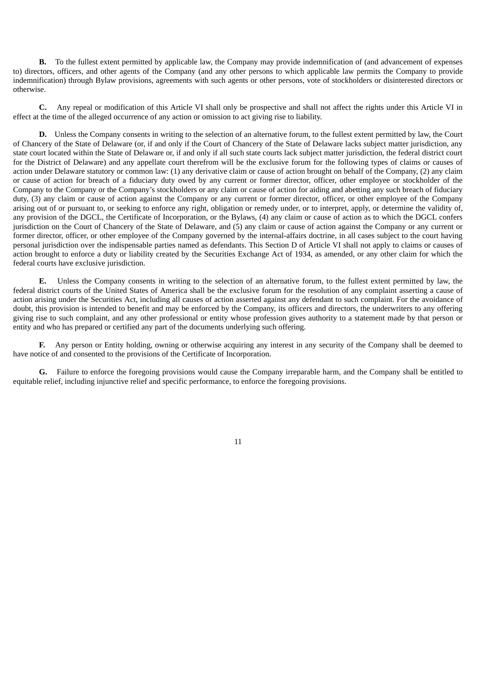**B.** To the fullest extent permitted by applicable law, the Company may provide indemnification of (and advancement of expenses to) directors, officers, and other agents of the Company (and any other persons to which applicable law permits the Company to provide indemnification) through Bylaw provisions, agreements with such agents or other persons, vote of stockholders or disinterested directors or otherwise.

**C.** Any repeal or modification of this Article VI shall only be prospective and shall not affect the rights under this Article VI in effect at the time of the alleged occurrence of any action or omission to act giving rise to liability.

**D.** Unless the Company consents in writing to the selection of an alternative forum, to the fullest extent permitted by law, the Court of Chancery of the State of Delaware (or, if and only if the Court of Chancery of the State of Delaware lacks subject matter jurisdiction, any state court located within the State of Delaware or, if and only if all such state courts lack subject matter jurisdiction, the federal district court for the District of Delaware) and any appellate court therefrom will be the exclusive forum for the following types of claims or causes of action under Delaware statutory or common law: (1) any derivative claim or cause of action brought on behalf of the Company, (2) any claim or cause of action for breach of a fiduciary duty owed by any current or former director, officer, other employee or stockholder of the Company to the Company or the Company's stockholders or any claim or cause of action for aiding and abetting any such breach of fiduciary duty, (3) any claim or cause of action against the Company or any current or former director, officer, or other employee of the Company arising out of or pursuant to, or seeking to enforce any right, obligation or remedy under, or to interpret, apply, or determine the validity of, any provision of the DGCL, the Certificate of Incorporation, or the Bylaws, (4) any claim or cause of action as to which the DGCL confers jurisdiction on the Court of Chancery of the State of Delaware, and (5) any claim or cause of action against the Company or any current or former director, officer, or other employee of the Company governed by the internal-affairs doctrine, in all cases subject to the court having personal jurisdiction over the indispensable parties named as defendants. This Section D of Article VI shall not apply to claims or causes of action brought to enforce a duty or liability created by the Securities Exchange Act of 1934, as amended, or any other claim for which the federal courts have exclusive jurisdiction.

**E.** Unless the Company consents in writing to the selection of an alternative forum, to the fullest extent permitted by law, the federal district courts of the United States of America shall be the exclusive forum for the resolution of any complaint asserting a cause of action arising under the Securities Act, including all causes of action asserted against any defendant to such complaint. For the avoidance of doubt, this provision is intended to benefit and may be enforced by the Company, its officers and directors, the underwriters to any offering giving rise to such complaint, and any other professional or entity whose profession gives authority to a statement made by that person or entity and who has prepared or certified any part of the documents underlying such offering.

**F.** Any person or Entity holding, owning or otherwise acquiring any interest in any security of the Company shall be deemed to have notice of and consented to the provisions of the Certificate of Incorporation.

**G.** Failure to enforce the foregoing provisions would cause the Company irreparable harm, and the Company shall be entitled to equitable relief, including injunctive relief and specific performance, to enforce the foregoing provisions.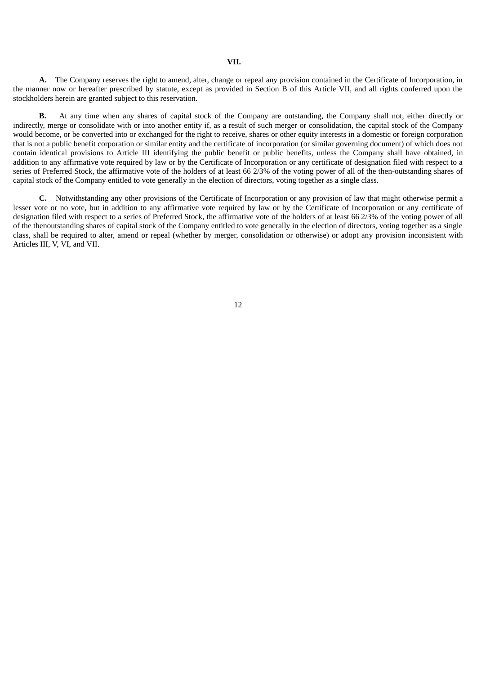**A.** The Company reserves the right to amend, alter, change or repeal any provision contained in the Certificate of Incorporation, in the manner now or hereafter prescribed by statute, except as provided in Section B of this Article VII, and all rights conferred upon the stockholders herein are granted subject to this reservation.

**B.** At any time when any shares of capital stock of the Company are outstanding, the Company shall not, either directly or indirectly, merge or consolidate with or into another entity if, as a result of such merger or consolidation, the capital stock of the Company would become, or be converted into or exchanged for the right to receive, shares or other equity interests in a domestic or foreign corporation that is not a public benefit corporation or similar entity and the certificate of incorporation (or similar governing document) of which does not contain identical provisions to Article III identifying the public benefit or public benefits, unless the Company shall have obtained, in addition to any affirmative vote required by law or by the Certificate of Incorporation or any certificate of designation filed with respect to a series of Preferred Stock, the affirmative vote of the holders of at least 66 2/3% of the voting power of all of the then-outstanding shares of capital stock of the Company entitled to vote generally in the election of directors, voting together as a single class.

**C.** Notwithstanding any other provisions of the Certificate of Incorporation or any provision of law that might otherwise permit a lesser vote or no vote, but in addition to any affirmative vote required by law or by the Certificate of Incorporation or any certificate of designation filed with respect to a series of Preferred Stock, the affirmative vote of the holders of at least 66 2/3% of the voting power of all of the thenoutstanding shares of capital stock of the Company entitled to vote generally in the election of directors, voting together as a single class, shall be required to alter, amend or repeal (whether by merger, consolidation or otherwise) or adopt any provision inconsistent with Articles III, V, VI, and VII.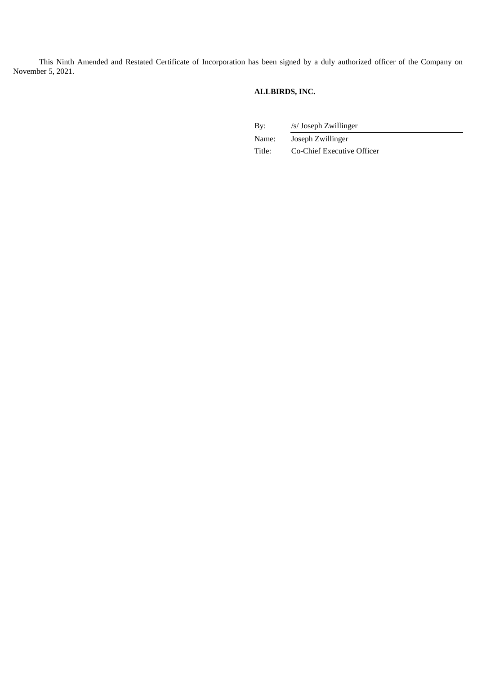This Ninth Amended and Restated Certificate of Incorporation has been signed by a duly authorized officer of the Company on November 5, 2021.

# **ALLBIRDS, INC.**

By: /s/ Joseph Zwillinger

Name: Joseph Zwillinger

Title: Co-Chief Executive Officer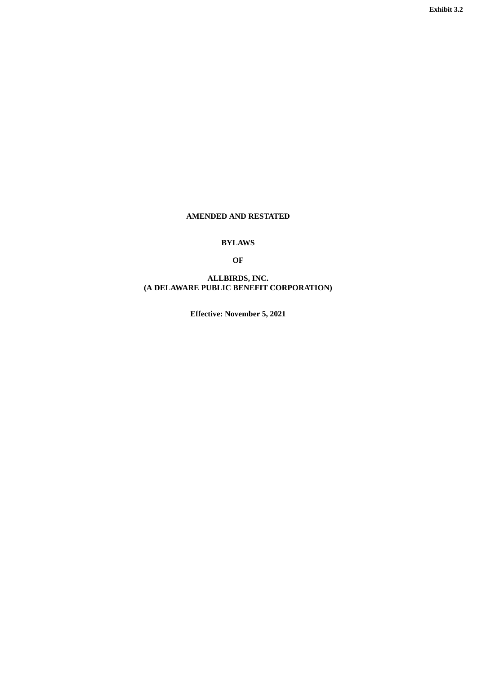# <span id="page-16-0"></span>**AMENDED AND RESTATED**

# **BYLAWS**

**OF**

**ALLBIRDS, INC. (A DELAWARE PUBLIC BENEFIT CORPORATION)**

**Effective: November 5, 2021**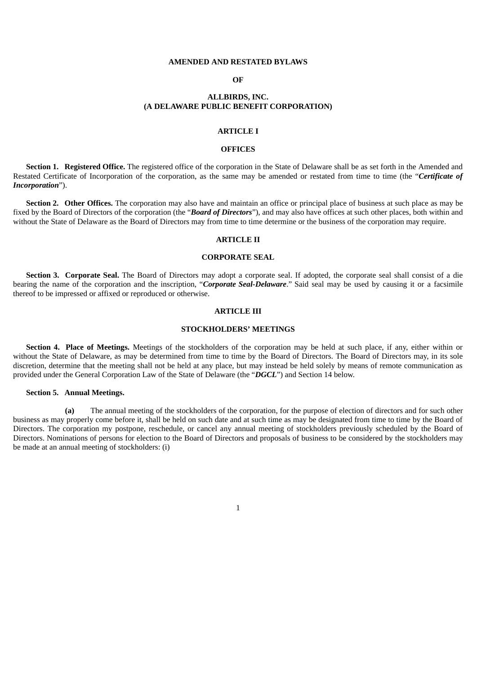#### **AMENDED AND RESTATED BYLAWS**

#### **OF**

# **ALLBIRDS, INC. (A DELAWARE PUBLIC BENEFIT CORPORATION)**

# **ARTICLE I**

#### **OFFICES**

**Section 1. Registered Office.** The registered office of the corporation in the State of Delaware shall be as set forth in the Amended and Restated Certificate of Incorporation of the corporation, as the same may be amended or restated from time to time (the "*Certificate of Incorporation*").

**Section 2. Other Offices.** The corporation may also have and maintain an office or principal place of business at such place as may be fixed by the Board of Directors of the corporation (the "*Board of Directors*"), and may also have offices at such other places, both within and without the State of Delaware as the Board of Directors may from time to time determine or the business of the corporation may require.

#### **ARTICLE II**

#### **CORPORATE SEAL**

**Section 3. Corporate Seal.** The Board of Directors may adopt a corporate seal. If adopted, the corporate seal shall consist of a die bearing the name of the corporation and the inscription, "*Corporate Seal-Delaware*." Said seal may be used by causing it or a facsimile thereof to be impressed or affixed or reproduced or otherwise.

# **ARTICLE III**

# **STOCKHOLDERS' MEETINGS**

**Section 4. Place of Meetings.** Meetings of the stockholders of the corporation may be held at such place, if any, either within or without the State of Delaware, as may be determined from time to time by the Board of Directors. The Board of Directors may, in its sole discretion, determine that the meeting shall not be held at any place, but may instead be held solely by means of remote communication as provided under the General Corporation Law of the State of Delaware (the "*DGCL*") and Section 14 below.

#### **Section 5. Annual Meetings.**

**(a)** The annual meeting of the stockholders of the corporation, for the purpose of election of directors and for such other business as may properly come before it, shall be held on such date and at such time as may be designated from time to time by the Board of Directors. The corporation my postpone, reschedule, or cancel any annual meeting of stockholders previously scheduled by the Board of Directors. Nominations of persons for election to the Board of Directors and proposals of business to be considered by the stockholders may be made at an annual meeting of stockholders: (i)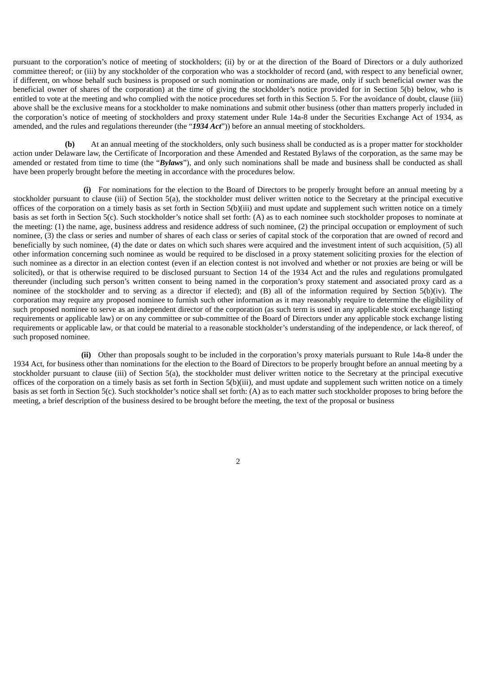pursuant to the corporation's notice of meeting of stockholders; (ii) by or at the direction of the Board of Directors or a duly authorized committee thereof; or (iii) by any stockholder of the corporation who was a stockholder of record (and, with respect to any beneficial owner, if different, on whose behalf such business is proposed or such nomination or nominations are made, only if such beneficial owner was the beneficial owner of shares of the corporation) at the time of giving the stockholder's notice provided for in Section 5(b) below, who is entitled to vote at the meeting and who complied with the notice procedures set forth in this Section 5. For the avoidance of doubt, clause (iii) above shall be the exclusive means for a stockholder to make nominations and submit other business (other than matters properly included in the corporation's notice of meeting of stockholders and proxy statement under Rule 14a-8 under the Securities Exchange Act of 1934, as amended, and the rules and regulations thereunder (the "*1934 Act*")) before an annual meeting of stockholders.

**(b)** At an annual meeting of the stockholders, only such business shall be conducted as is a proper matter for stockholder action under Delaware law, the Certificate of Incorporation and these Amended and Restated Bylaws of the corporation, as the same may be amended or restated from time to time (the "*Bylaws*"), and only such nominations shall be made and business shall be conducted as shall have been properly brought before the meeting in accordance with the procedures below.

**(i)** For nominations for the election to the Board of Directors to be properly brought before an annual meeting by a stockholder pursuant to clause (iii) of Section 5(a), the stockholder must deliver written notice to the Secretary at the principal executive offices of the corporation on a timely basis as set forth in Section 5(b)(iii) and must update and supplement such written notice on a timely basis as set forth in Section 5(c). Such stockholder's notice shall set forth: (A) as to each nominee such stockholder proposes to nominate at the meeting: (1) the name, age, business address and residence address of such nominee, (2) the principal occupation or employment of such nominee, (3) the class or series and number of shares of each class or series of capital stock of the corporation that are owned of record and beneficially by such nominee, (4) the date or dates on which such shares were acquired and the investment intent of such acquisition, (5) all other information concerning such nominee as would be required to be disclosed in a proxy statement soliciting proxies for the election of such nominee as a director in an election contest (even if an election contest is not involved and whether or not proxies are being or will be solicited), or that is otherwise required to be disclosed pursuant to Section 14 of the 1934 Act and the rules and regulations promulgated thereunder (including such person's written consent to being named in the corporation's proxy statement and associated proxy card as a nominee of the stockholder and to serving as a director if elected); and (B) all of the information required by Section 5(b)(iv). The corporation may require any proposed nominee to furnish such other information as it may reasonably require to determine the eligibility of such proposed nominee to serve as an independent director of the corporation (as such term is used in any applicable stock exchange listing requirements or applicable law) or on any committee or sub-committee of the Board of Directors under any applicable stock exchange listing requirements or applicable law, or that could be material to a reasonable stockholder's understanding of the independence, or lack thereof, of such proposed nominee.

**(ii)** Other than proposals sought to be included in the corporation's proxy materials pursuant to Rule 14a-8 under the 1934 Act, for business other than nominations for the election to the Board of Directors to be properly brought before an annual meeting by a stockholder pursuant to clause (iii) of Section 5(a), the stockholder must deliver written notice to the Secretary at the principal executive offices of the corporation on a timely basis as set forth in Section 5(b)(iii), and must update and supplement such written notice on a timely basis as set forth in Section 5(c). Such stockholder's notice shall set forth: (A) as to each matter such stockholder proposes to bring before the meeting, a brief description of the business desired to be brought before the meeting, the text of the proposal or business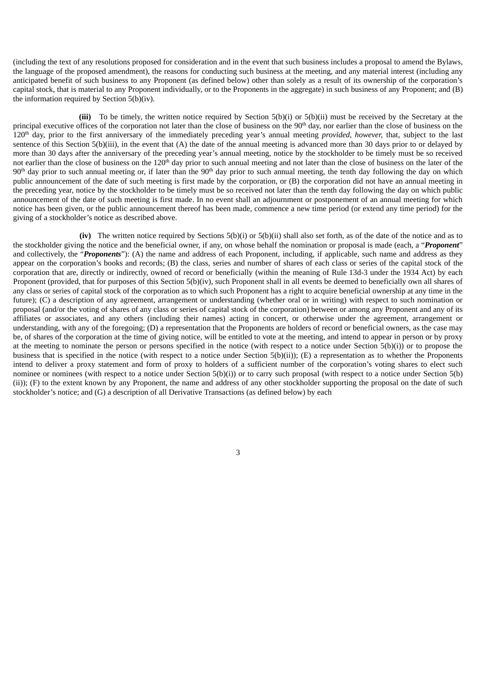(including the text of any resolutions proposed for consideration and in the event that such business includes a proposal to amend the Bylaws, the language of the proposed amendment), the reasons for conducting such business at the meeting, and any material interest (including any anticipated benefit of such business to any Proponent (as defined below) other than solely as a result of its ownership of the corporation's capital stock, that is material to any Proponent individually, or to the Proponents in the aggregate) in such business of any Proponent; and (B) the information required by Section 5(b)(iv).

**(iii)** To be timely, the written notice required by Section 5(b)(i) or 5(b)(ii) must be received by the Secretary at the principal executive offices of the corporation not later than the close of business on the 90<sup>th</sup> day, nor earlier than the close of business on the 120<sup>th</sup> day, prior to the first anniversary of the immediately preceding year's annual meeting *provided*, *however*, that, subject to the last sentence of this Section 5(b)(iii), in the event that (A) the date of the annual meeting is advanced more than 30 days prior to or delayed by more than 30 days after the anniversary of the preceding year's annual meeting, notice by the stockholder to be timely must be so received not earlier than the close of business on the  $120<sup>th</sup>$  day prior to such annual meeting and not later than the close of business on the later of the  $90<sup>th</sup>$  day prior to such annual meeting or, if later than the  $90<sup>th</sup>$  day prior to such annual meeting, the tenth day following the day on which public announcement of the date of such meeting is first made by the corporation, or (B) the corporation did not have an annual meeting in the preceding year, notice by the stockholder to be timely must be so received not later than the tenth day following the day on which public announcement of the date of such meeting is first made. In no event shall an adjournment or postponement of an annual meeting for which notice has been given, or the public announcement thereof has been made, commence a new time period (or extend any time period) for the giving of a stockholder's notice as described above.

**(iv)** The written notice required by Sections 5(b)(i) or 5(b)(ii) shall also set forth, as of the date of the notice and as to the stockholder giving the notice and the beneficial owner, if any, on whose behalf the nomination or proposal is made (each, a "*Proponent*" and collectively, the "*Proponents*"): (A) the name and address of each Proponent, including, if applicable, such name and address as they appear on the corporation's books and records; (B) the class, series and number of shares of each class or series of the capital stock of the corporation that are, directly or indirectly, owned of record or beneficially (within the meaning of Rule 13d-3 under the 1934 Act) by each Proponent (provided, that for purposes of this Section 5(b)(iv), such Proponent shall in all events be deemed to beneficially own all shares of any class or series of capital stock of the corporation as to which such Proponent has a right to acquire beneficial ownership at any time in the future); (C) a description of any agreement, arrangement or understanding (whether oral or in writing) with respect to such nomination or proposal (and/or the voting of shares of any class or series of capital stock of the corporation) between or among any Proponent and any of its affiliates or associates, and any others (including their names) acting in concert, or otherwise under the agreement, arrangement or understanding, with any of the foregoing; (D) a representation that the Proponents are holders of record or beneficial owners, as the case may be, of shares of the corporation at the time of giving notice, will be entitled to vote at the meeting, and intend to appear in person or by proxy at the meeting to nominate the person or persons specified in the notice (with respect to a notice under Section 5(b)(i)) or to propose the business that is specified in the notice (with respect to a notice under Section 5(b)(ii)); (E) a representation as to whether the Proponents intend to deliver a proxy statement and form of proxy to holders of a sufficient number of the corporation's voting shares to elect such nominee or nominees (with respect to a notice under Section 5(b)(i)) or to carry such proposal (with respect to a notice under Section 5(b) (ii)); (F) to the extent known by any Proponent, the name and address of any other stockholder supporting the proposal on the date of such stockholder's notice; and (G) a description of all Derivative Transactions (as defined below) by each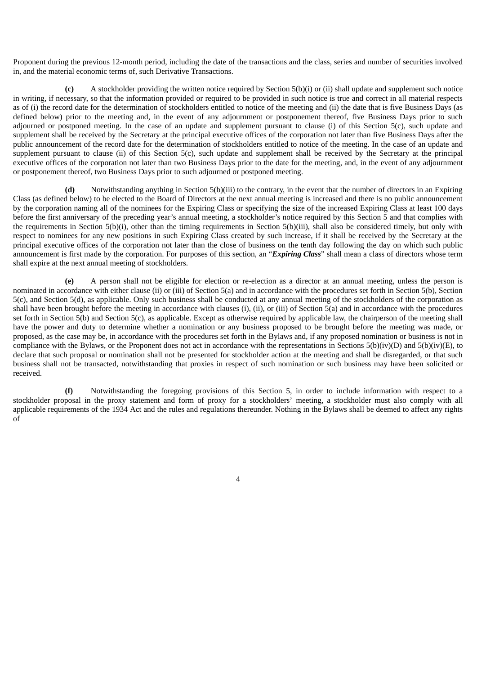Proponent during the previous 12-month period, including the date of the transactions and the class, series and number of securities involved in, and the material economic terms of, such Derivative Transactions.

**(c)** A stockholder providing the written notice required by Section 5(b)(i) or (ii) shall update and supplement such notice in writing, if necessary, so that the information provided or required to be provided in such notice is true and correct in all material respects as of (i) the record date for the determination of stockholders entitled to notice of the meeting and (ii) the date that is five Business Days (as defined below) prior to the meeting and, in the event of any adjournment or postponement thereof, five Business Days prior to such adjourned or postponed meeting. In the case of an update and supplement pursuant to clause (i) of this Section 5(c), such update and supplement shall be received by the Secretary at the principal executive offices of the corporation not later than five Business Days after the public announcement of the record date for the determination of stockholders entitled to notice of the meeting. In the case of an update and supplement pursuant to clause (ii) of this Section 5(c), such update and supplement shall be received by the Secretary at the principal executive offices of the corporation not later than two Business Days prior to the date for the meeting, and, in the event of any adjournment or postponement thereof, two Business Days prior to such adjourned or postponed meeting.

**(d)** Notwithstanding anything in Section 5(b)(iii) to the contrary, in the event that the number of directors in an Expiring Class (as defined below) to be elected to the Board of Directors at the next annual meeting is increased and there is no public announcement by the corporation naming all of the nominees for the Expiring Class or specifying the size of the increased Expiring Class at least 100 days before the first anniversary of the preceding year's annual meeting, a stockholder's notice required by this Section 5 and that complies with the requirements in Section 5(b)(i), other than the timing requirements in Section 5(b)(iii), shall also be considered timely, but only with respect to nominees for any new positions in such Expiring Class created by such increase, if it shall be received by the Secretary at the principal executive offices of the corporation not later than the close of business on the tenth day following the day on which such public announcement is first made by the corporation. For purposes of this section, an "*Expiring Class*" shall mean a class of directors whose term shall expire at the next annual meeting of stockholders.

**(e)** A person shall not be eligible for election or re-election as a director at an annual meeting, unless the person is nominated in accordance with either clause (ii) or (iii) of Section 5(a) and in accordance with the procedures set forth in Section 5(b), Section 5(c), and Section 5(d), as applicable. Only such business shall be conducted at any annual meeting of the stockholders of the corporation as shall have been brought before the meeting in accordance with clauses (i), (ii), or (iii) of Section 5(a) and in accordance with the procedures set forth in Section 5(b) and Section 5(c), as applicable. Except as otherwise required by applicable law, the chairperson of the meeting shall have the power and duty to determine whether a nomination or any business proposed to be brought before the meeting was made, or proposed, as the case may be, in accordance with the procedures set forth in the Bylaws and, if any proposed nomination or business is not in compliance with the Bylaws, or the Proponent does not act in accordance with the representations in Sections  $5(b)(iv)(D)$  and  $5(b)(iv)(E)$ , to declare that such proposal or nomination shall not be presented for stockholder action at the meeting and shall be disregarded, or that such business shall not be transacted, notwithstanding that proxies in respect of such nomination or such business may have been solicited or received.

**(f)** Notwithstanding the foregoing provisions of this Section 5, in order to include information with respect to a stockholder proposal in the proxy statement and form of proxy for a stockholders' meeting, a stockholder must also comply with all applicable requirements of the 1934 Act and the rules and regulations thereunder. Nothing in the Bylaws shall be deemed to affect any rights of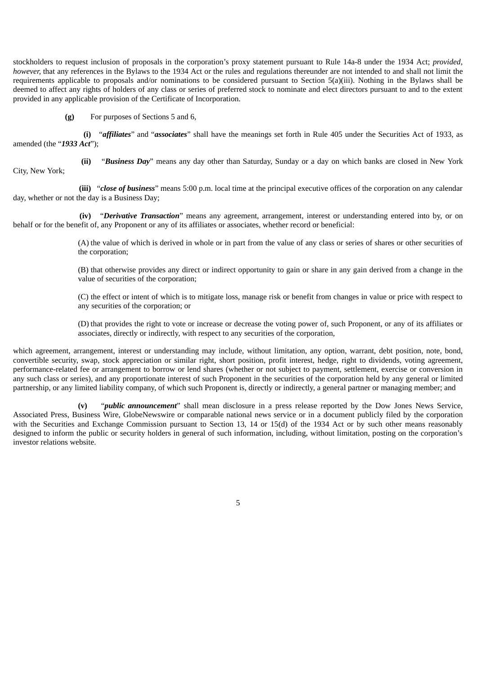stockholders to request inclusion of proposals in the corporation's proxy statement pursuant to Rule 14a-8 under the 1934 Act; *provided, however,* that any references in the Bylaws to the 1934 Act or the rules and regulations thereunder are not intended to and shall not limit the requirements applicable to proposals and/or nominations to be considered pursuant to Section 5(a)(iii). Nothing in the Bylaws shall be deemed to affect any rights of holders of any class or series of preferred stock to nominate and elect directors pursuant to and to the extent provided in any applicable provision of the Certificate of Incorporation.

**(g)** For purposes of Sections 5 and 6,

**(i)** "*affiliates*" and "*associates*" shall have the meanings set forth in Rule 405 under the Securities Act of 1933, as amended (the "*1933 Act*");

City, New York;

**(ii)** "*Business Day*" means any day other than Saturday, Sunday or a day on which banks are closed in New York

**(iii)** "*close of business*" means 5:00 p.m. local time at the principal executive offices of the corporation on any calendar day, whether or not the day is a Business Day;

**(iv)** "*Derivative Transaction*" means any agreement, arrangement, interest or understanding entered into by, or on behalf or for the benefit of, any Proponent or any of its affiliates or associates, whether record or beneficial:

> (A) the value of which is derived in whole or in part from the value of any class or series of shares or other securities of the corporation;

> (B) that otherwise provides any direct or indirect opportunity to gain or share in any gain derived from a change in the value of securities of the corporation;

> (C) the effect or intent of which is to mitigate loss, manage risk or benefit from changes in value or price with respect to any securities of the corporation; or

> (D) that provides the right to vote or increase or decrease the voting power of, such Proponent, or any of its affiliates or associates, directly or indirectly, with respect to any securities of the corporation,

which agreement, arrangement, interest or understanding may include, without limitation, any option, warrant, debt position, note, bond, convertible security, swap, stock appreciation or similar right, short position, profit interest, hedge, right to dividends, voting agreement, performance-related fee or arrangement to borrow or lend shares (whether or not subject to payment, settlement, exercise or conversion in any such class or series), and any proportionate interest of such Proponent in the securities of the corporation held by any general or limited partnership, or any limited liability company, of which such Proponent is, directly or indirectly, a general partner or managing member; and

**(v)** "*public announcement*" shall mean disclosure in a press release reported by the Dow Jones News Service, Associated Press, Business Wire, GlobeNewswire or comparable national news service or in a document publicly filed by the corporation with the Securities and Exchange Commission pursuant to Section 13, 14 or 15(d) of the 1934 Act or by such other means reasonably designed to inform the public or security holders in general of such information, including, without limitation, posting on the corporation's investor relations website.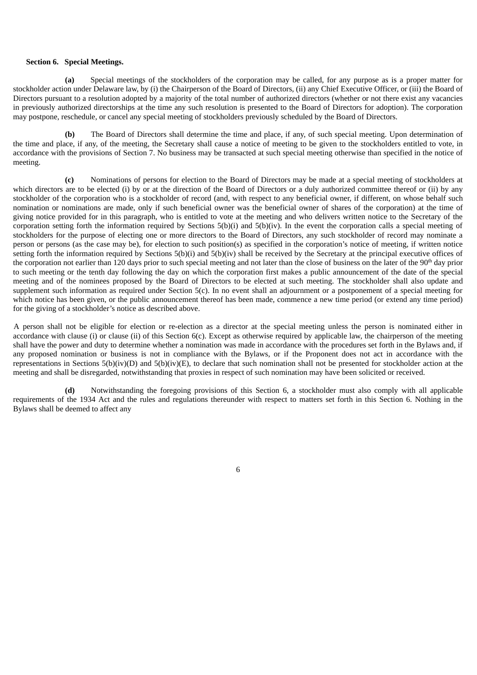#### **Section 6. Special Meetings.**

**(a)** Special meetings of the stockholders of the corporation may be called, for any purpose as is a proper matter for stockholder action under Delaware law, by (i) the Chairperson of the Board of Directors, (ii) any Chief Executive Officer, or (iii) the Board of Directors pursuant to a resolution adopted by a majority of the total number of authorized directors (whether or not there exist any vacancies in previously authorized directorships at the time any such resolution is presented to the Board of Directors for adoption). The corporation may postpone, reschedule, or cancel any special meeting of stockholders previously scheduled by the Board of Directors.

**(b)** The Board of Directors shall determine the time and place, if any, of such special meeting. Upon determination of the time and place, if any, of the meeting, the Secretary shall cause a notice of meeting to be given to the stockholders entitled to vote, in accordance with the provisions of Section 7. No business may be transacted at such special meeting otherwise than specified in the notice of meeting.

**(c)** Nominations of persons for election to the Board of Directors may be made at a special meeting of stockholders at which directors are to be elected (i) by or at the direction of the Board of Directors or a duly authorized committee thereof or (ii) by any stockholder of the corporation who is a stockholder of record (and, with respect to any beneficial owner, if different, on whose behalf such nomination or nominations are made, only if such beneficial owner was the beneficial owner of shares of the corporation) at the time of giving notice provided for in this paragraph, who is entitled to vote at the meeting and who delivers written notice to the Secretary of the corporation setting forth the information required by Sections 5(b)(i) and 5(b)(iv). In the event the corporation calls a special meeting of stockholders for the purpose of electing one or more directors to the Board of Directors, any such stockholder of record may nominate a person or persons (as the case may be), for election to such position(s) as specified in the corporation's notice of meeting, if written notice setting forth the information required by Sections 5(b)(i) and 5(b)(iv) shall be received by the Secretary at the principal executive offices of the corporation not earlier than 120 days prior to such special meeting and not later than the close of business on the later of the 90<sup>th</sup> day prior to such meeting or the tenth day following the day on which the corporation first makes a public announcement of the date of the special meeting and of the nominees proposed by the Board of Directors to be elected at such meeting. The stockholder shall also update and supplement such information as required under Section 5(c). In no event shall an adjournment or a postponement of a special meeting for which notice has been given, or the public announcement thereof has been made, commence a new time period (or extend any time period) for the giving of a stockholder's notice as described above.

A person shall not be eligible for election or re-election as a director at the special meeting unless the person is nominated either in accordance with clause (i) or clause (ii) of this Section 6(c). Except as otherwise required by applicable law, the chairperson of the meeting shall have the power and duty to determine whether a nomination was made in accordance with the procedures set forth in the Bylaws and, if any proposed nomination or business is not in compliance with the Bylaws, or if the Proponent does not act in accordance with the representations in Sections 5(b)(iv)(D) and 5(b)(iv)(E), to declare that such nomination shall not be presented for stockholder action at the meeting and shall be disregarded, notwithstanding that proxies in respect of such nomination may have been solicited or received.

**(d)** Notwithstanding the foregoing provisions of this Section 6, a stockholder must also comply with all applicable requirements of the 1934 Act and the rules and regulations thereunder with respect to matters set forth in this Section 6. Nothing in the Bylaws shall be deemed to affect any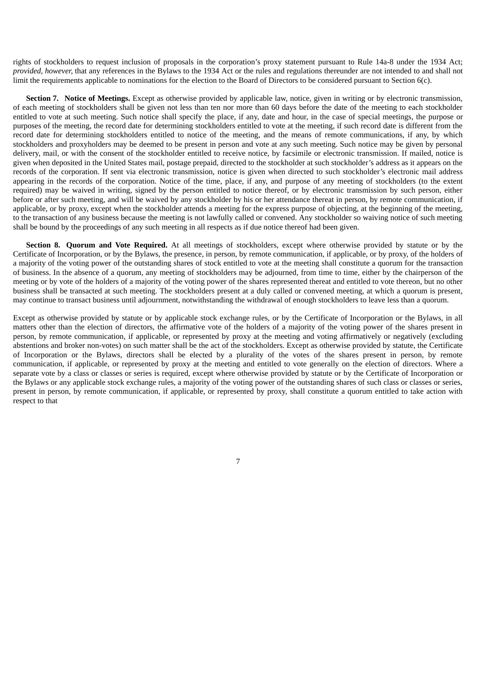rights of stockholders to request inclusion of proposals in the corporation's proxy statement pursuant to Rule 14a-8 under the 1934 Act; *provided, however,* that any references in the Bylaws to the 1934 Act or the rules and regulations thereunder are not intended to and shall not limit the requirements applicable to nominations for the election to the Board of Directors to be considered pursuant to Section 6(c).

**Section 7. Notice of Meetings.** Except as otherwise provided by applicable law, notice, given in writing or by electronic transmission, of each meeting of stockholders shall be given not less than ten nor more than 60 days before the date of the meeting to each stockholder entitled to vote at such meeting. Such notice shall specify the place, if any, date and hour, in the case of special meetings, the purpose or purposes of the meeting, the record date for determining stockholders entitled to vote at the meeting, if such record date is different from the record date for determining stockholders entitled to notice of the meeting, and the means of remote communications, if any, by which stockholders and proxyholders may be deemed to be present in person and vote at any such meeting. Such notice may be given by personal delivery, mail, or with the consent of the stockholder entitled to receive notice, by facsimile or electronic transmission. If mailed, notice is given when deposited in the United States mail, postage prepaid, directed to the stockholder at such stockholder's address as it appears on the records of the corporation. If sent via electronic transmission, notice is given when directed to such stockholder's electronic mail address appearing in the records of the corporation. Notice of the time, place, if any, and purpose of any meeting of stockholders (to the extent required) may be waived in writing, signed by the person entitled to notice thereof, or by electronic transmission by such person, either before or after such meeting, and will be waived by any stockholder by his or her attendance thereat in person, by remote communication, if applicable, or by proxy, except when the stockholder attends a meeting for the express purpose of objecting, at the beginning of the meeting, to the transaction of any business because the meeting is not lawfully called or convened. Any stockholder so waiving notice of such meeting shall be bound by the proceedings of any such meeting in all respects as if due notice thereof had been given.

**Section 8. Quorum and Vote Required.** At all meetings of stockholders, except where otherwise provided by statute or by the Certificate of Incorporation, or by the Bylaws, the presence, in person, by remote communication, if applicable, or by proxy, of the holders of a majority of the voting power of the outstanding shares of stock entitled to vote at the meeting shall constitute a quorum for the transaction of business. In the absence of a quorum, any meeting of stockholders may be adjourned, from time to time, either by the chairperson of the meeting or by vote of the holders of a majority of the voting power of the shares represented thereat and entitled to vote thereon, but no other business shall be transacted at such meeting. The stockholders present at a duly called or convened meeting, at which a quorum is present, may continue to transact business until adjournment, notwithstanding the withdrawal of enough stockholders to leave less than a quorum.

Except as otherwise provided by statute or by applicable stock exchange rules, or by the Certificate of Incorporation or the Bylaws, in all matters other than the election of directors, the affirmative vote of the holders of a majority of the voting power of the shares present in person, by remote communication, if applicable, or represented by proxy at the meeting and voting affirmatively or negatively (excluding abstentions and broker non-votes) on such matter shall be the act of the stockholders. Except as otherwise provided by statute, the Certificate of Incorporation or the Bylaws, directors shall be elected by a plurality of the votes of the shares present in person, by remote communication, if applicable, or represented by proxy at the meeting and entitled to vote generally on the election of directors. Where a separate vote by a class or classes or series is required, except where otherwise provided by statute or by the Certificate of Incorporation or the Bylaws or any applicable stock exchange rules, a majority of the voting power of the outstanding shares of such class or classes or series, present in person, by remote communication, if applicable, or represented by proxy, shall constitute a quorum entitled to take action with respect to that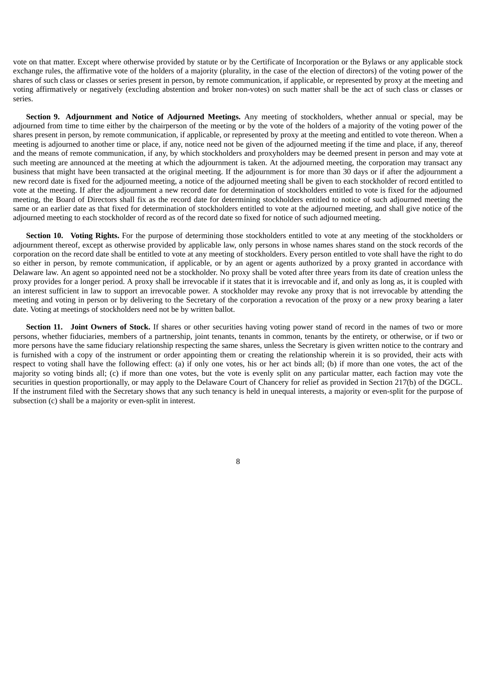vote on that matter. Except where otherwise provided by statute or by the Certificate of Incorporation or the Bylaws or any applicable stock exchange rules, the affirmative vote of the holders of a majority (plurality, in the case of the election of directors) of the voting power of the shares of such class or classes or series present in person, by remote communication, if applicable, or represented by proxy at the meeting and voting affirmatively or negatively (excluding abstention and broker non-votes) on such matter shall be the act of such class or classes or series.

**Section 9. Adjournment and Notice of Adjourned Meetings.** Any meeting of stockholders, whether annual or special, may be adjourned from time to time either by the chairperson of the meeting or by the vote of the holders of a majority of the voting power of the shares present in person, by remote communication, if applicable, or represented by proxy at the meeting and entitled to vote thereon. When a meeting is adjourned to another time or place, if any, notice need not be given of the adjourned meeting if the time and place, if any, thereof and the means of remote communication, if any, by which stockholders and proxyholders may be deemed present in person and may vote at such meeting are announced at the meeting at which the adjournment is taken. At the adjourned meeting, the corporation may transact any business that might have been transacted at the original meeting. If the adjournment is for more than 30 days or if after the adjournment a new record date is fixed for the adjourned meeting, a notice of the adjourned meeting shall be given to each stockholder of record entitled to vote at the meeting. If after the adjournment a new record date for determination of stockholders entitled to vote is fixed for the adjourned meeting, the Board of Directors shall fix as the record date for determining stockholders entitled to notice of such adjourned meeting the same or an earlier date as that fixed for determination of stockholders entitled to vote at the adjourned meeting, and shall give notice of the adjourned meeting to each stockholder of record as of the record date so fixed for notice of such adjourned meeting.

**Section 10. Voting Rights.** For the purpose of determining those stockholders entitled to vote at any meeting of the stockholders or adjournment thereof, except as otherwise provided by applicable law, only persons in whose names shares stand on the stock records of the corporation on the record date shall be entitled to vote at any meeting of stockholders. Every person entitled to vote shall have the right to do so either in person, by remote communication, if applicable, or by an agent or agents authorized by a proxy granted in accordance with Delaware law. An agent so appointed need not be a stockholder. No proxy shall be voted after three years from its date of creation unless the proxy provides for a longer period. A proxy shall be irrevocable if it states that it is irrevocable and if, and only as long as, it is coupled with an interest sufficient in law to support an irrevocable power. A stockholder may revoke any proxy that is not irrevocable by attending the meeting and voting in person or by delivering to the Secretary of the corporation a revocation of the proxy or a new proxy bearing a later date. Voting at meetings of stockholders need not be by written ballot.

**Section 11. Joint Owners of Stock.** If shares or other securities having voting power stand of record in the names of two or more persons, whether fiduciaries, members of a partnership, joint tenants, tenants in common, tenants by the entirety, or otherwise, or if two or more persons have the same fiduciary relationship respecting the same shares, unless the Secretary is given written notice to the contrary and is furnished with a copy of the instrument or order appointing them or creating the relationship wherein it is so provided, their acts with respect to voting shall have the following effect: (a) if only one votes, his or her act binds all; (b) if more than one votes, the act of the majority so voting binds all; (c) if more than one votes, but the vote is evenly split on any particular matter, each faction may vote the securities in question proportionally, or may apply to the Delaware Court of Chancery for relief as provided in Section 217(b) of the DGCL. If the instrument filed with the Secretary shows that any such tenancy is held in unequal interests, a majority or even-split for the purpose of subsection (c) shall be a majority or even-split in interest.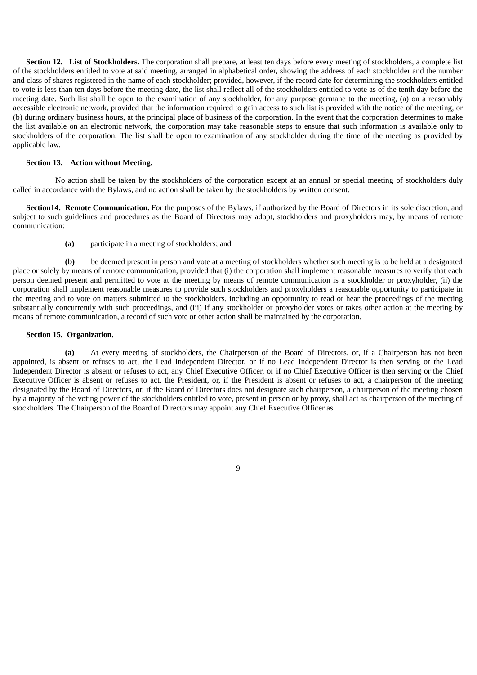**Section 12. List of Stockholders.** The corporation shall prepare, at least ten days before every meeting of stockholders, a complete list of the stockholders entitled to vote at said meeting, arranged in alphabetical order, showing the address of each stockholder and the number and class of shares registered in the name of each stockholder; provided, however, if the record date for determining the stockholders entitled to vote is less than ten days before the meeting date, the list shall reflect all of the stockholders entitled to vote as of the tenth day before the meeting date. Such list shall be open to the examination of any stockholder, for any purpose germane to the meeting, (a) on a reasonably accessible electronic network, provided that the information required to gain access to such list is provided with the notice of the meeting, or (b) during ordinary business hours, at the principal place of business of the corporation. In the event that the corporation determines to make the list available on an electronic network, the corporation may take reasonable steps to ensure that such information is available only to stockholders of the corporation. The list shall be open to examination of any stockholder during the time of the meeting as provided by applicable law.

#### **Section 13. Action without Meeting.**

No action shall be taken by the stockholders of the corporation except at an annual or special meeting of stockholders duly called in accordance with the Bylaws, and no action shall be taken by the stockholders by written consent.

**Section14. Remote Communication.** For the purposes of the Bylaws, if authorized by the Board of Directors in its sole discretion, and subject to such guidelines and procedures as the Board of Directors may adopt, stockholders and proxyholders may, by means of remote communication:

**(a)** participate in a meeting of stockholders; and

**(b)** be deemed present in person and vote at a meeting of stockholders whether such meeting is to be held at a designated place or solely by means of remote communication, provided that (i) the corporation shall implement reasonable measures to verify that each person deemed present and permitted to vote at the meeting by means of remote communication is a stockholder or proxyholder, (ii) the corporation shall implement reasonable measures to provide such stockholders and proxyholders a reasonable opportunity to participate in the meeting and to vote on matters submitted to the stockholders, including an opportunity to read or hear the proceedings of the meeting substantially concurrently with such proceedings, and (iii) if any stockholder or proxyholder votes or takes other action at the meeting by means of remote communication, a record of such vote or other action shall be maintained by the corporation.

#### **Section 15. Organization.**

**(a)** At every meeting of stockholders, the Chairperson of the Board of Directors, or, if a Chairperson has not been appointed, is absent or refuses to act, the Lead Independent Director, or if no Lead Independent Director is then serving or the Lead Independent Director is absent or refuses to act, any Chief Executive Officer, or if no Chief Executive Officer is then serving or the Chief Executive Officer is absent or refuses to act, the President, or, if the President is absent or refuses to act, a chairperson of the meeting designated by the Board of Directors, or, if the Board of Directors does not designate such chairperson, a chairperson of the meeting chosen by a majority of the voting power of the stockholders entitled to vote, present in person or by proxy, shall act as chairperson of the meeting of stockholders. The Chairperson of the Board of Directors may appoint any Chief Executive Officer as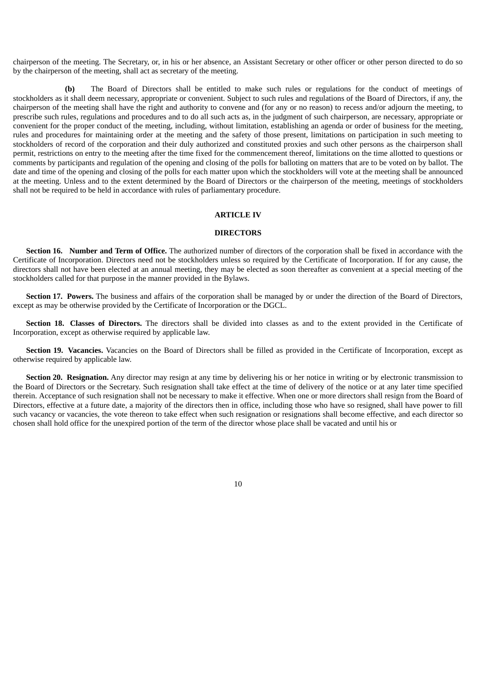chairperson of the meeting. The Secretary, or, in his or her absence, an Assistant Secretary or other officer or other person directed to do so by the chairperson of the meeting, shall act as secretary of the meeting.

**(b)** The Board of Directors shall be entitled to make such rules or regulations for the conduct of meetings of stockholders as it shall deem necessary, appropriate or convenient. Subject to such rules and regulations of the Board of Directors, if any, the chairperson of the meeting shall have the right and authority to convene and (for any or no reason) to recess and/or adjourn the meeting, to prescribe such rules, regulations and procedures and to do all such acts as, in the judgment of such chairperson, are necessary, appropriate or convenient for the proper conduct of the meeting, including, without limitation, establishing an agenda or order of business for the meeting, rules and procedures for maintaining order at the meeting and the safety of those present, limitations on participation in such meeting to stockholders of record of the corporation and their duly authorized and constituted proxies and such other persons as the chairperson shall permit, restrictions on entry to the meeting after the time fixed for the commencement thereof, limitations on the time allotted to questions or comments by participants and regulation of the opening and closing of the polls for balloting on matters that are to be voted on by ballot. The date and time of the opening and closing of the polls for each matter upon which the stockholders will vote at the meeting shall be announced at the meeting. Unless and to the extent determined by the Board of Directors or the chairperson of the meeting, meetings of stockholders shall not be required to be held in accordance with rules of parliamentary procedure.

# **ARTICLE IV**

#### **DIRECTORS**

**Section 16. Number and Term of Office.** The authorized number of directors of the corporation shall be fixed in accordance with the Certificate of Incorporation. Directors need not be stockholders unless so required by the Certificate of Incorporation. If for any cause, the directors shall not have been elected at an annual meeting, they may be elected as soon thereafter as convenient at a special meeting of the stockholders called for that purpose in the manner provided in the Bylaws.

**Section 17. Powers.** The business and affairs of the corporation shall be managed by or under the direction of the Board of Directors, except as may be otherwise provided by the Certificate of Incorporation or the DGCL.

**Section 18. Classes of Directors.** The directors shall be divided into classes as and to the extent provided in the Certificate of Incorporation, except as otherwise required by applicable law.

**Section 19. Vacancies.** Vacancies on the Board of Directors shall be filled as provided in the Certificate of Incorporation, except as otherwise required by applicable law.

**Section 20. Resignation.** Any director may resign at any time by delivering his or her notice in writing or by electronic transmission to the Board of Directors or the Secretary. Such resignation shall take effect at the time of delivery of the notice or at any later time specified therein. Acceptance of such resignation shall not be necessary to make it effective. When one or more directors shall resign from the Board of Directors, effective at a future date, a majority of the directors then in office, including those who have so resigned, shall have power to fill such vacancy or vacancies, the vote thereon to take effect when such resignation or resignations shall become effective, and each director so chosen shall hold office for the unexpired portion of the term of the director whose place shall be vacated and until his or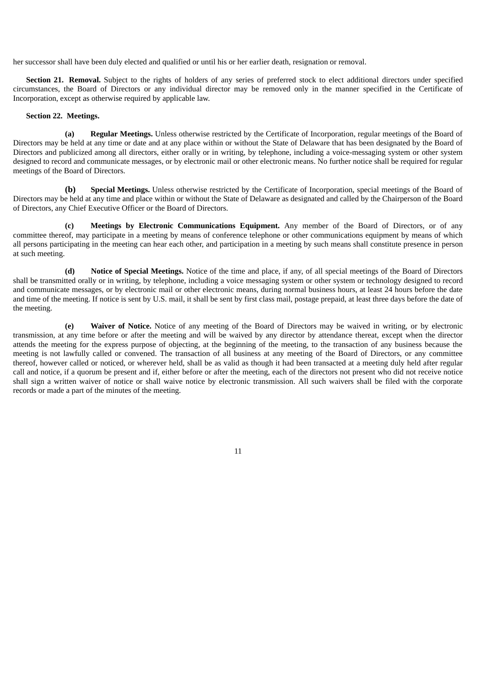her successor shall have been duly elected and qualified or until his or her earlier death, resignation or removal.

**Section 21. Removal.** Subject to the rights of holders of any series of preferred stock to elect additional directors under specified circumstances, the Board of Directors or any individual director may be removed only in the manner specified in the Certificate of Incorporation, except as otherwise required by applicable law.

#### **Section 22. Meetings.**

**(a) Regular Meetings.** Unless otherwise restricted by the Certificate of Incorporation, regular meetings of the Board of Directors may be held at any time or date and at any place within or without the State of Delaware that has been designated by the Board of Directors and publicized among all directors, either orally or in writing, by telephone, including a voice-messaging system or other system designed to record and communicate messages, or by electronic mail or other electronic means. No further notice shall be required for regular meetings of the Board of Directors.

**(b) Special Meetings.** Unless otherwise restricted by the Certificate of Incorporation, special meetings of the Board of Directors may be held at any time and place within or without the State of Delaware as designated and called by the Chairperson of the Board of Directors, any Chief Executive Officer or the Board of Directors.

**(c) Meetings by Electronic Communications Equipment.** Any member of the Board of Directors, or of any committee thereof, may participate in a meeting by means of conference telephone or other communications equipment by means of which all persons participating in the meeting can hear each other, and participation in a meeting by such means shall constitute presence in person at such meeting.

**(d) Notice of Special Meetings.** Notice of the time and place, if any, of all special meetings of the Board of Directors shall be transmitted orally or in writing, by telephone, including a voice messaging system or other system or technology designed to record and communicate messages, or by electronic mail or other electronic means, during normal business hours, at least 24 hours before the date and time of the meeting. If notice is sent by U.S. mail, it shall be sent by first class mail, postage prepaid, at least three days before the date of the meeting.

**(e) Waiver of Notice.** Notice of any meeting of the Board of Directors may be waived in writing, or by electronic transmission, at any time before or after the meeting and will be waived by any director by attendance thereat, except when the director attends the meeting for the express purpose of objecting, at the beginning of the meeting, to the transaction of any business because the meeting is not lawfully called or convened. The transaction of all business at any meeting of the Board of Directors, or any committee thereof, however called or noticed, or wherever held, shall be as valid as though it had been transacted at a meeting duly held after regular call and notice, if a quorum be present and if, either before or after the meeting, each of the directors not present who did not receive notice shall sign a written waiver of notice or shall waive notice by electronic transmission. All such waivers shall be filed with the corporate records or made a part of the minutes of the meeting.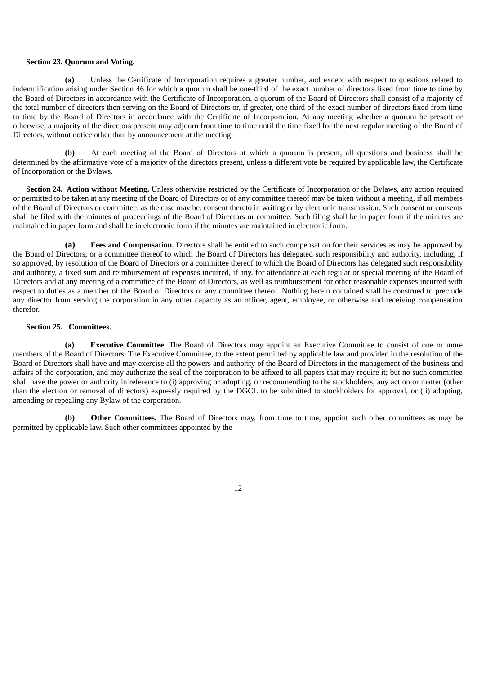#### **Section 23. Quorum and Voting.**

**(a)** Unless the Certificate of Incorporation requires a greater number, and except with respect to questions related to indemnification arising under Section 46 for which a quorum shall be one-third of the exact number of directors fixed from time to time by the Board of Directors in accordance with the Certificate of Incorporation, a quorum of the Board of Directors shall consist of a majority of the total number of directors then serving on the Board of Directors or, if greater, one-third of the exact number of directors fixed from time to time by the Board of Directors in accordance with the Certificate of Incorporation. At any meeting whether a quorum be present or otherwise, a majority of the directors present may adjourn from time to time until the time fixed for the next regular meeting of the Board of Directors, without notice other than by announcement at the meeting.

**(b)** At each meeting of the Board of Directors at which a quorum is present, all questions and business shall be determined by the affirmative vote of a majority of the directors present, unless a different vote be required by applicable law, the Certificate of Incorporation or the Bylaws.

**Section 24. Action without Meeting.** Unless otherwise restricted by the Certificate of Incorporation or the Bylaws, any action required or permitted to be taken at any meeting of the Board of Directors or of any committee thereof may be taken without a meeting, if all members of the Board of Directors or committee, as the case may be, consent thereto in writing or by electronic transmission. Such consent or consents shall be filed with the minutes of proceedings of the Board of Directors or committee. Such filing shall be in paper form if the minutes are maintained in paper form and shall be in electronic form if the minutes are maintained in electronic form.

**(a) Fees and Compensation.** Directors shall be entitled to such compensation for their services as may be approved by the Board of Directors, or a committee thereof to which the Board of Directors has delegated such responsibility and authority, including, if so approved, by resolution of the Board of Directors or a committee thereof to which the Board of Directors has delegated such responsibility and authority, a fixed sum and reimbursement of expenses incurred, if any, for attendance at each regular or special meeting of the Board of Directors and at any meeting of a committee of the Board of Directors, as well as reimbursement for other reasonable expenses incurred with respect to duties as a member of the Board of Directors or any committee thereof. Nothing herein contained shall be construed to preclude any director from serving the corporation in any other capacity as an officer, agent, employee, or otherwise and receiving compensation therefor.

# **Section 25. Committees.**

**(a) Executive Committee.** The Board of Directors may appoint an Executive Committee to consist of one or more members of the Board of Directors. The Executive Committee, to the extent permitted by applicable law and provided in the resolution of the Board of Directors shall have and may exercise all the powers and authority of the Board of Directors in the management of the business and affairs of the corporation, and may authorize the seal of the corporation to be affixed to all papers that may require it; but no such committee shall have the power or authority in reference to (i) approving or adopting, or recommending to the stockholders, any action or matter (other than the election or removal of directors) expressly required by the DGCL to be submitted to stockholders for approval, or (ii) adopting, amending or repealing any Bylaw of the corporation.

**(b) Other Committees.** The Board of Directors may, from time to time, appoint such other committees as may be permitted by applicable law. Such other committees appointed by the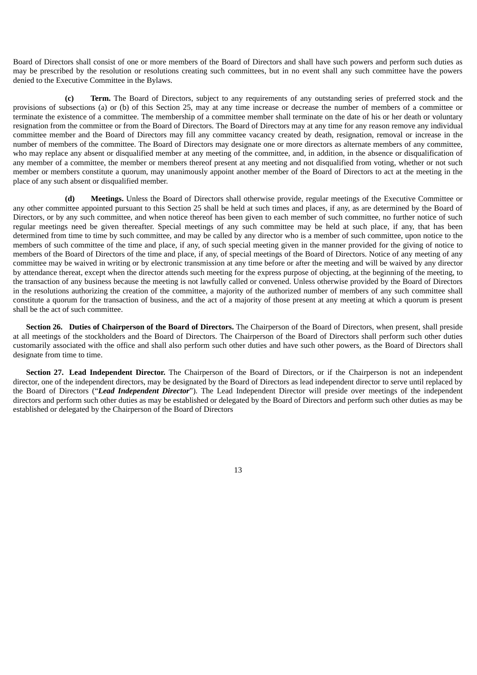Board of Directors shall consist of one or more members of the Board of Directors and shall have such powers and perform such duties as may be prescribed by the resolution or resolutions creating such committees, but in no event shall any such committee have the powers denied to the Executive Committee in the Bylaws.

**(c) Term.** The Board of Directors, subject to any requirements of any outstanding series of preferred stock and the provisions of subsections (a) or (b) of this Section 25, may at any time increase or decrease the number of members of a committee or terminate the existence of a committee. The membership of a committee member shall terminate on the date of his or her death or voluntary resignation from the committee or from the Board of Directors. The Board of Directors may at any time for any reason remove any individual committee member and the Board of Directors may fill any committee vacancy created by death, resignation, removal or increase in the number of members of the committee. The Board of Directors may designate one or more directors as alternate members of any committee, who may replace any absent or disqualified member at any meeting of the committee, and, in addition, in the absence or disqualification of any member of a committee, the member or members thereof present at any meeting and not disqualified from voting, whether or not such member or members constitute a quorum, may unanimously appoint another member of the Board of Directors to act at the meeting in the place of any such absent or disqualified member.

**(d) Meetings.** Unless the Board of Directors shall otherwise provide, regular meetings of the Executive Committee or any other committee appointed pursuant to this Section 25 shall be held at such times and places, if any, as are determined by the Board of Directors, or by any such committee, and when notice thereof has been given to each member of such committee, no further notice of such regular meetings need be given thereafter. Special meetings of any such committee may be held at such place, if any, that has been determined from time to time by such committee, and may be called by any director who is a member of such committee, upon notice to the members of such committee of the time and place, if any, of such special meeting given in the manner provided for the giving of notice to members of the Board of Directors of the time and place, if any, of special meetings of the Board of Directors. Notice of any meeting of any committee may be waived in writing or by electronic transmission at any time before or after the meeting and will be waived by any director by attendance thereat, except when the director attends such meeting for the express purpose of objecting, at the beginning of the meeting, to the transaction of any business because the meeting is not lawfully called or convened. Unless otherwise provided by the Board of Directors in the resolutions authorizing the creation of the committee, a majority of the authorized number of members of any such committee shall constitute a quorum for the transaction of business, and the act of a majority of those present at any meeting at which a quorum is present shall be the act of such committee.

**Section 26. Duties of Chairperson of the Board of Directors.** The Chairperson of the Board of Directors, when present, shall preside at all meetings of the stockholders and the Board of Directors. The Chairperson of the Board of Directors shall perform such other duties customarily associated with the office and shall also perform such other duties and have such other powers, as the Board of Directors shall designate from time to time.

**Section 27. Lead Independent Director.** The Chairperson of the Board of Directors, or if the Chairperson is not an independent director, one of the independent directors, may be designated by the Board of Directors as lead independent director to serve until replaced by the Board of Directors ("*Lead Independent Director*"). The Lead Independent Director will preside over meetings of the independent directors and perform such other duties as may be established or delegated by the Board of Directors and perform such other duties as may be established or delegated by the Chairperson of the Board of Directors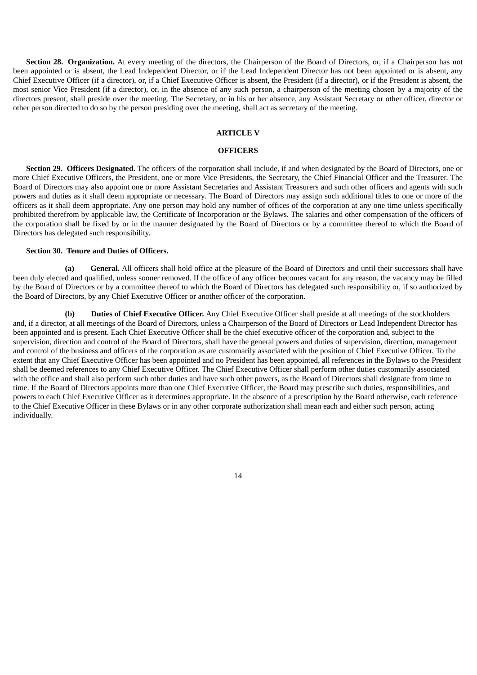**Section 28. Organization.** At every meeting of the directors, the Chairperson of the Board of Directors, or, if a Chairperson has not been appointed or is absent, the Lead Independent Director, or if the Lead Independent Director has not been appointed or is absent, any Chief Executive Officer (if a director), or, if a Chief Executive Officer is absent, the President (if a director), or if the President is absent, the most senior Vice President (if a director), or, in the absence of any such person, a chairperson of the meeting chosen by a majority of the directors present, shall preside over the meeting. The Secretary, or in his or her absence, any Assistant Secretary or other officer, director or other person directed to do so by the person presiding over the meeting, shall act as secretary of the meeting.

#### **ARTICLE V**

#### **OFFICERS**

**Section 29. Officers Designated.** The officers of the corporation shall include, if and when designated by the Board of Directors, one or more Chief Executive Officers, the President, one or more Vice Presidents, the Secretary, the Chief Financial Officer and the Treasurer. The Board of Directors may also appoint one or more Assistant Secretaries and Assistant Treasurers and such other officers and agents with such powers and duties as it shall deem appropriate or necessary. The Board of Directors may assign such additional titles to one or more of the officers as it shall deem appropriate. Any one person may hold any number of offices of the corporation at any one time unless specifically prohibited therefrom by applicable law, the Certificate of Incorporation or the Bylaws. The salaries and other compensation of the officers of the corporation shall be fixed by or in the manner designated by the Board of Directors or by a committee thereof to which the Board of Directors has delegated such responsibility.

## **Section 30. Tenure and Duties of Officers.**

**(a) General.** All officers shall hold office at the pleasure of the Board of Directors and until their successors shall have been duly elected and qualified, unless sooner removed. If the office of any officer becomes vacant for any reason, the vacancy may be filled by the Board of Directors or by a committee thereof to which the Board of Directors has delegated such responsibility or, if so authorized by the Board of Directors, by any Chief Executive Officer or another officer of the corporation.

**(b) Duties of Chief Executive Officer.** Any Chief Executive Officer shall preside at all meetings of the stockholders and, if a director, at all meetings of the Board of Directors, unless a Chairperson of the Board of Directors or Lead Independent Director has been appointed and is present. Each Chief Executive Officer shall be the chief executive officer of the corporation and, subject to the supervision, direction and control of the Board of Directors, shall have the general powers and duties of supervision, direction, management and control of the business and officers of the corporation as are customarily associated with the position of Chief Executive Officer. To the extent that any Chief Executive Officer has been appointed and no President has been appointed, all references in the Bylaws to the President shall be deemed references to any Chief Executive Officer. The Chief Executive Officer shall perform other duties customarily associated with the office and shall also perform such other duties and have such other powers, as the Board of Directors shall designate from time to time. If the Board of Directors appoints more than one Chief Executive Officer, the Board may prescribe such duties, responsibilities, and powers to each Chief Executive Officer as it determines appropriate. In the absence of a prescription by the Board otherwise, each reference to the Chief Executive Officer in these Bylaws or in any other corporate authorization shall mean each and either such person, acting individually.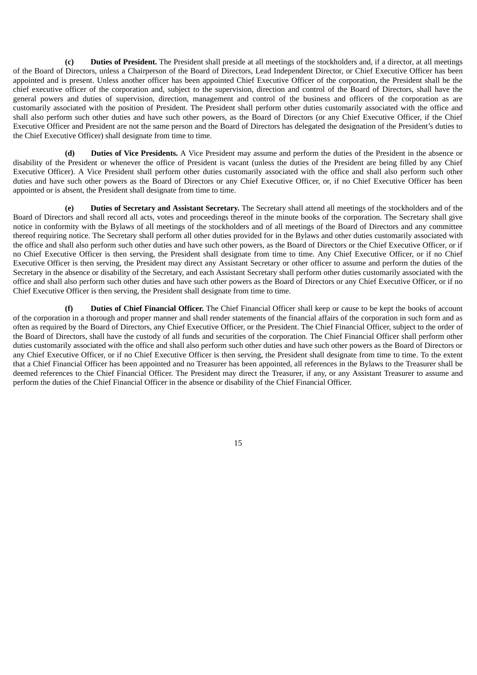**(c) Duties of President.** The President shall preside at all meetings of the stockholders and, if a director, at all meetings of the Board of Directors, unless a Chairperson of the Board of Directors, Lead Independent Director, or Chief Executive Officer has been appointed and is present. Unless another officer has been appointed Chief Executive Officer of the corporation, the President shall be the chief executive officer of the corporation and, subject to the supervision, direction and control of the Board of Directors, shall have the general powers and duties of supervision, direction, management and control of the business and officers of the corporation as are customarily associated with the position of President. The President shall perform other duties customarily associated with the office and shall also perform such other duties and have such other powers, as the Board of Directors (or any Chief Executive Officer, if the Chief Executive Officer and President are not the same person and the Board of Directors has delegated the designation of the President's duties to the Chief Executive Officer) shall designate from time to time.

**(d) Duties of Vice Presidents.** A Vice President may assume and perform the duties of the President in the absence or disability of the President or whenever the office of President is vacant (unless the duties of the President are being filled by any Chief Executive Officer). A Vice President shall perform other duties customarily associated with the office and shall also perform such other duties and have such other powers as the Board of Directors or any Chief Executive Officer, or, if no Chief Executive Officer has been appointed or is absent, the President shall designate from time to time.

**(e) Duties of Secretary and Assistant Secretary.** The Secretary shall attend all meetings of the stockholders and of the Board of Directors and shall record all acts, votes and proceedings thereof in the minute books of the corporation. The Secretary shall give notice in conformity with the Bylaws of all meetings of the stockholders and of all meetings of the Board of Directors and any committee thereof requiring notice. The Secretary shall perform all other duties provided for in the Bylaws and other duties customarily associated with the office and shall also perform such other duties and have such other powers, as the Board of Directors or the Chief Executive Officer, or if no Chief Executive Officer is then serving, the President shall designate from time to time. Any Chief Executive Officer, or if no Chief Executive Officer is then serving, the President may direct any Assistant Secretary or other officer to assume and perform the duties of the Secretary in the absence or disability of the Secretary, and each Assistant Secretary shall perform other duties customarily associated with the office and shall also perform such other duties and have such other powers as the Board of Directors or any Chief Executive Officer, or if no Chief Executive Officer is then serving, the President shall designate from time to time.

**(f) Duties of Chief Financial Officer.** The Chief Financial Officer shall keep or cause to be kept the books of account of the corporation in a thorough and proper manner and shall render statements of the financial affairs of the corporation in such form and as often as required by the Board of Directors, any Chief Executive Officer, or the President. The Chief Financial Officer, subject to the order of the Board of Directors, shall have the custody of all funds and securities of the corporation. The Chief Financial Officer shall perform other duties customarily associated with the office and shall also perform such other duties and have such other powers as the Board of Directors or any Chief Executive Officer, or if no Chief Executive Officer is then serving, the President shall designate from time to time. To the extent that a Chief Financial Officer has been appointed and no Treasurer has been appointed, all references in the Bylaws to the Treasurer shall be deemed references to the Chief Financial Officer. The President may direct the Treasurer, if any, or any Assistant Treasurer to assume and perform the duties of the Chief Financial Officer in the absence or disability of the Chief Financial Officer.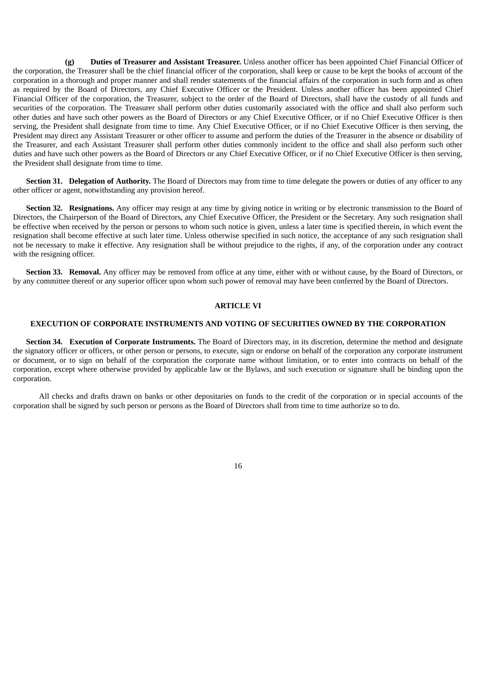**(g) Duties of Treasurer and Assistant Treasurer.** Unless another officer has been appointed Chief Financial Officer of the corporation, the Treasurer shall be the chief financial officer of the corporation, shall keep or cause to be kept the books of account of the corporation in a thorough and proper manner and shall render statements of the financial affairs of the corporation in such form and as often as required by the Board of Directors, any Chief Executive Officer or the President. Unless another officer has been appointed Chief Financial Officer of the corporation, the Treasurer, subject to the order of the Board of Directors, shall have the custody of all funds and securities of the corporation. The Treasurer shall perform other duties customarily associated with the office and shall also perform such other duties and have such other powers as the Board of Directors or any Chief Executive Officer, or if no Chief Executive Officer is then serving, the President shall designate from time to time. Any Chief Executive Officer, or if no Chief Executive Officer is then serving, the President may direct any Assistant Treasurer or other officer to assume and perform the duties of the Treasurer in the absence or disability of the Treasurer, and each Assistant Treasurer shall perform other duties commonly incident to the office and shall also perform such other duties and have such other powers as the Board of Directors or any Chief Executive Officer, or if no Chief Executive Officer is then serving, the President shall designate from time to time.

**Section 31. Delegation of Authority.** The Board of Directors may from time to time delegate the powers or duties of any officer to any other officer or agent, notwithstanding any provision hereof.

**Section 32. Resignations.** Any officer may resign at any time by giving notice in writing or by electronic transmission to the Board of Directors, the Chairperson of the Board of Directors, any Chief Executive Officer, the President or the Secretary. Any such resignation shall be effective when received by the person or persons to whom such notice is given, unless a later time is specified therein, in which event the resignation shall become effective at such later time. Unless otherwise specified in such notice, the acceptance of any such resignation shall not be necessary to make it effective. Any resignation shall be without prejudice to the rights, if any, of the corporation under any contract with the resigning officer.

**Section 33. Removal.** Any officer may be removed from office at any time, either with or without cause, by the Board of Directors, or by any committee thereof or any superior officer upon whom such power of removal may have been conferred by the Board of Directors.

# **ARTICLE VI**

#### **EXECUTION OF CORPORATE INSTRUMENTS AND VOTING OF SECURITIES OWNED BY THE CORPORATION**

**Section 34. Execution of Corporate Instruments.** The Board of Directors may, in its discretion, determine the method and designate the signatory officer or officers, or other person or persons, to execute, sign or endorse on behalf of the corporation any corporate instrument or document, or to sign on behalf of the corporation the corporate name without limitation, or to enter into contracts on behalf of the corporation, except where otherwise provided by applicable law or the Bylaws, and such execution or signature shall be binding upon the corporation.

All checks and drafts drawn on banks or other depositaries on funds to the credit of the corporation or in special accounts of the corporation shall be signed by such person or persons as the Board of Directors shall from time to time authorize so to do.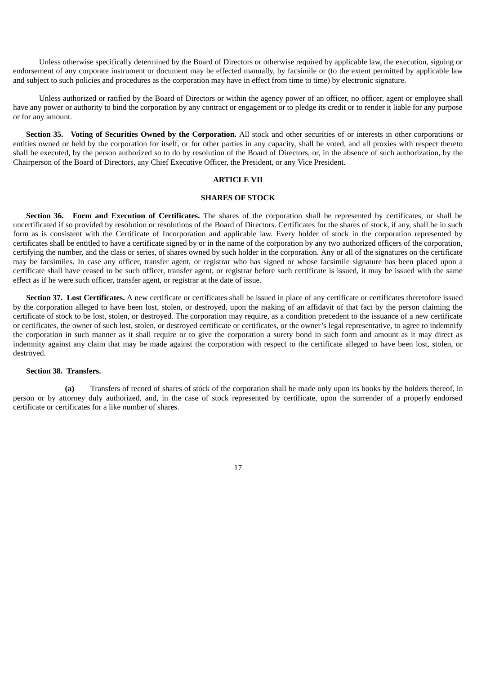Unless otherwise specifically determined by the Board of Directors or otherwise required by applicable law, the execution, signing or endorsement of any corporate instrument or document may be effected manually, by facsimile or (to the extent permitted by applicable law and subject to such policies and procedures as the corporation may have in effect from time to time) by electronic signature.

Unless authorized or ratified by the Board of Directors or within the agency power of an officer, no officer, agent or employee shall have any power or authority to bind the corporation by any contract or engagement or to pledge its credit or to render it liable for any purpose or for any amount.

**Section 35. Voting of Securities Owned by the Corporation.** All stock and other securities of or interests in other corporations or entities owned or held by the corporation for itself, or for other parties in any capacity, shall be voted, and all proxies with respect thereto shall be executed, by the person authorized so to do by resolution of the Board of Directors, or, in the absence of such authorization, by the Chairperson of the Board of Directors, any Chief Executive Officer, the President, or any Vice President.

#### **ARTICLE VII**

# **SHARES OF STOCK**

**Section 36. Form and Execution of Certificates.** The shares of the corporation shall be represented by certificates, or shall be uncertificated if so provided by resolution or resolutions of the Board of Directors. Certificates for the shares of stock, if any, shall be in such form as is consistent with the Certificate of Incorporation and applicable law. Every holder of stock in the corporation represented by certificates shall be entitled to have a certificate signed by or in the name of the corporation by any two authorized officers of the corporation, certifying the number, and the class or series, of shares owned by such holder in the corporation. Any or all of the signatures on the certificate may be facsimiles. In case any officer, transfer agent, or registrar who has signed or whose facsimile signature has been placed upon a certificate shall have ceased to be such officer, transfer agent, or registrar before such certificate is issued, it may be issued with the same effect as if he were such officer, transfer agent, or registrar at the date of issue.

**Section 37. Lost Certificates.** A new certificate or certificates shall be issued in place of any certificate or certificates theretofore issued by the corporation alleged to have been lost, stolen, or destroyed, upon the making of an affidavit of that fact by the person claiming the certificate of stock to be lost, stolen, or destroyed. The corporation may require, as a condition precedent to the issuance of a new certificate or certificates, the owner of such lost, stolen, or destroyed certificate or certificates, or the owner's legal representative, to agree to indemnify the corporation in such manner as it shall require or to give the corporation a surety bond in such form and amount as it may direct as indemnity against any claim that may be made against the corporation with respect to the certificate alleged to have been lost, stolen, or destroyed.

#### **Section 38. Transfers.**

**(a)** Transfers of record of shares of stock of the corporation shall be made only upon its books by the holders thereof, in person or by attorney duly authorized, and, in the case of stock represented by certificate, upon the surrender of a properly endorsed certificate or certificates for a like number of shares.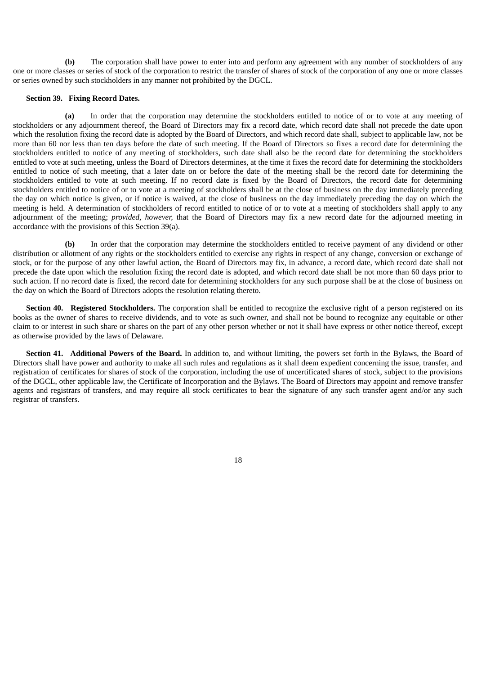**(b)** The corporation shall have power to enter into and perform any agreement with any number of stockholders of any one or more classes or series of stock of the corporation to restrict the transfer of shares of stock of the corporation of any one or more classes or series owned by such stockholders in any manner not prohibited by the DGCL.

#### **Section 39. Fixing Record Dates.**

**(a)** In order that the corporation may determine the stockholders entitled to notice of or to vote at any meeting of stockholders or any adjournment thereof, the Board of Directors may fix a record date, which record date shall not precede the date upon which the resolution fixing the record date is adopted by the Board of Directors, and which record date shall, subject to applicable law, not be more than 60 nor less than ten days before the date of such meeting. If the Board of Directors so fixes a record date for determining the stockholders entitled to notice of any meeting of stockholders, such date shall also be the record date for determining the stockholders entitled to vote at such meeting, unless the Board of Directors determines, at the time it fixes the record date for determining the stockholders entitled to notice of such meeting, that a later date on or before the date of the meeting shall be the record date for determining the stockholders entitled to vote at such meeting. If no record date is fixed by the Board of Directors, the record date for determining stockholders entitled to notice of or to vote at a meeting of stockholders shall be at the close of business on the day immediately preceding the day on which notice is given, or if notice is waived, at the close of business on the day immediately preceding the day on which the meeting is held. A determination of stockholders of record entitled to notice of or to vote at a meeting of stockholders shall apply to any adjournment of the meeting; *provided, however,* that the Board of Directors may fix a new record date for the adjourned meeting in accordance with the provisions of this Section 39(a).

**(b)** In order that the corporation may determine the stockholders entitled to receive payment of any dividend or other distribution or allotment of any rights or the stockholders entitled to exercise any rights in respect of any change, conversion or exchange of stock, or for the purpose of any other lawful action, the Board of Directors may fix, in advance, a record date, which record date shall not precede the date upon which the resolution fixing the record date is adopted, and which record date shall be not more than 60 days prior to such action. If no record date is fixed, the record date for determining stockholders for any such purpose shall be at the close of business on the day on which the Board of Directors adopts the resolution relating thereto.

**Section 40. Registered Stockholders.** The corporation shall be entitled to recognize the exclusive right of a person registered on its books as the owner of shares to receive dividends, and to vote as such owner, and shall not be bound to recognize any equitable or other claim to or interest in such share or shares on the part of any other person whether or not it shall have express or other notice thereof, except as otherwise provided by the laws of Delaware.

**Section 41. Additional Powers of the Board.** In addition to, and without limiting, the powers set forth in the Bylaws, the Board of Directors shall have power and authority to make all such rules and regulations as it shall deem expedient concerning the issue, transfer, and registration of certificates for shares of stock of the corporation, including the use of uncertificated shares of stock, subject to the provisions of the DGCL, other applicable law, the Certificate of Incorporation and the Bylaws. The Board of Directors may appoint and remove transfer agents and registrars of transfers, and may require all stock certificates to bear the signature of any such transfer agent and/or any such registrar of transfers.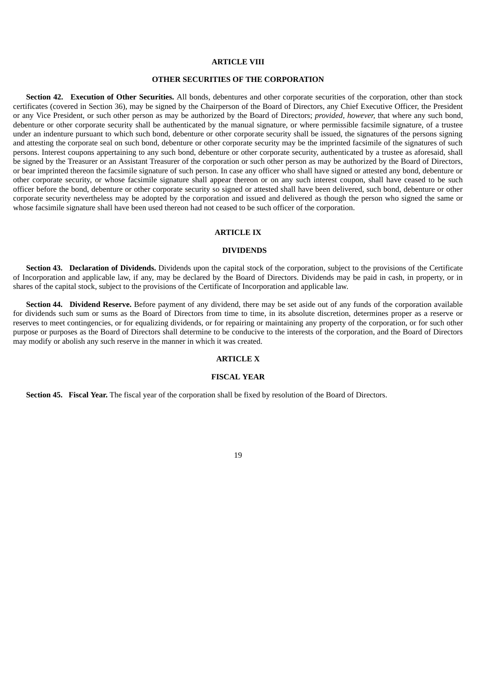#### **ARTICLE VIII**

#### **OTHER SECURITIES OF THE CORPORATION**

**Section 42. Execution of Other Securities.** All bonds, debentures and other corporate securities of the corporation, other than stock certificates (covered in Section 36), may be signed by the Chairperson of the Board of Directors, any Chief Executive Officer, the President or any Vice President, or such other person as may be authorized by the Board of Directors; *provided, however,* that where any such bond, debenture or other corporate security shall be authenticated by the manual signature, or where permissible facsimile signature, of a trustee under an indenture pursuant to which such bond, debenture or other corporate security shall be issued, the signatures of the persons signing and attesting the corporate seal on such bond, debenture or other corporate security may be the imprinted facsimile of the signatures of such persons. Interest coupons appertaining to any such bond, debenture or other corporate security, authenticated by a trustee as aforesaid, shall be signed by the Treasurer or an Assistant Treasurer of the corporation or such other person as may be authorized by the Board of Directors, or bear imprinted thereon the facsimile signature of such person. In case any officer who shall have signed or attested any bond, debenture or other corporate security, or whose facsimile signature shall appear thereon or on any such interest coupon, shall have ceased to be such officer before the bond, debenture or other corporate security so signed or attested shall have been delivered, such bond, debenture or other corporate security nevertheless may be adopted by the corporation and issued and delivered as though the person who signed the same or whose facsimile signature shall have been used thereon had not ceased to be such officer of the corporation.

# **ARTICLE IX**

# **DIVIDENDS**

**Section 43. Declaration of Dividends.** Dividends upon the capital stock of the corporation, subject to the provisions of the Certificate of Incorporation and applicable law, if any, may be declared by the Board of Directors. Dividends may be paid in cash, in property, or in shares of the capital stock, subject to the provisions of the Certificate of Incorporation and applicable law.

**Section 44. Dividend Reserve.** Before payment of any dividend, there may be set aside out of any funds of the corporation available for dividends such sum or sums as the Board of Directors from time to time, in its absolute discretion, determines proper as a reserve or reserves to meet contingencies, or for equalizing dividends, or for repairing or maintaining any property of the corporation, or for such other purpose or purposes as the Board of Directors shall determine to be conducive to the interests of the corporation, and the Board of Directors may modify or abolish any such reserve in the manner in which it was created.

# **ARTICLE X**

#### **FISCAL YEAR**

**Section 45. Fiscal Year.** The fiscal year of the corporation shall be fixed by resolution of the Board of Directors.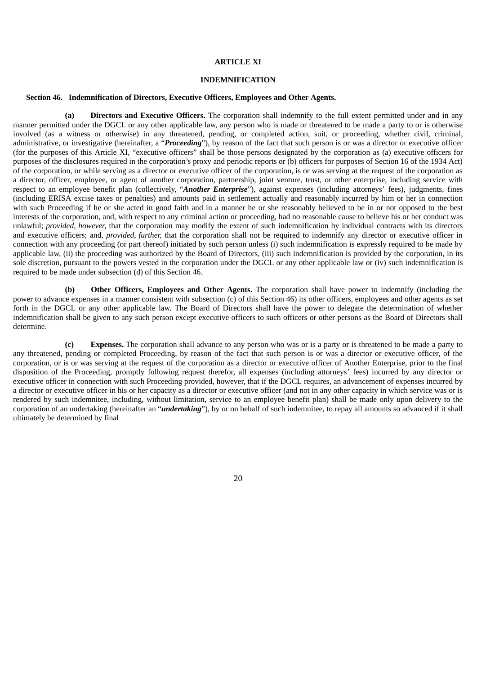#### **ARTICLE XI**

# **INDEMNIFICATION**

#### **Section 46. Indemnification of Directors, Executive Officers, Employees and Other Agents.**

**(a) Directors and Executive Officers.** The corporation shall indemnify to the full extent permitted under and in any manner permitted under the DGCL or any other applicable law, any person who is made or threatened to be made a party to or is otherwise involved (as a witness or otherwise) in any threatened, pending, or completed action, suit, or proceeding, whether civil, criminal, administrative, or investigative (hereinafter, a "*Proceeding*"), by reason of the fact that such person is or was a director or executive officer (for the purposes of this Article XI, "executive officers" shall be those persons designated by the corporation as (a) executive officers for purposes of the disclosures required in the corporation's proxy and periodic reports or (b) officers for purposes of Section 16 of the 1934 Act) of the corporation, or while serving as a director or executive officer of the corporation, is or was serving at the request of the corporation as a director, officer, employee, or agent of another corporation, partnership, joint venture, trust, or other enterprise, including service with respect to an employee benefit plan (collectively, "*Another Enterprise*"), against expenses (including attorneys' fees), judgments, fines (including ERISA excise taxes or penalties) and amounts paid in settlement actually and reasonably incurred by him or her in connection with such Proceeding if he or she acted in good faith and in a manner he or she reasonably believed to be in or not opposed to the best interests of the corporation, and, with respect to any criminal action or proceeding, had no reasonable cause to believe his or her conduct was unlawful; *provided, however,* that the corporation may modify the extent of such indemnification by individual contracts with its directors and executive officers; and, *provided, further,* that the corporation shall not be required to indemnify any director or executive officer in connection with any proceeding (or part thereof) initiated by such person unless (i) such indemnification is expressly required to be made by applicable law, (ii) the proceeding was authorized by the Board of Directors, (iii) such indemnification is provided by the corporation, in its sole discretion, pursuant to the powers vested in the corporation under the DGCL or any other applicable law or (iv) such indemnification is required to be made under subsection (d) of this Section 46.

**(b) Other Officers, Employees and Other Agents.** The corporation shall have power to indemnify (including the power to advance expenses in a manner consistent with subsection (c) of this Section 46) its other officers, employees and other agents as set forth in the DGCL or any other applicable law. The Board of Directors shall have the power to delegate the determination of whether indemnification shall be given to any such person except executive officers to such officers or other persons as the Board of Directors shall determine.

**(c) Expenses.** The corporation shall advance to any person who was or is a party or is threatened to be made a party to any threatened, pending or completed Proceeding, by reason of the fact that such person is or was a director or executive officer, of the corporation, or is or was serving at the request of the corporation as a director or executive officer of Another Enterprise, prior to the final disposition of the Proceeding, promptly following request therefor, all expenses (including attorneys' fees) incurred by any director or executive officer in connection with such Proceeding provided, however, that if the DGCL requires, an advancement of expenses incurred by a director or executive officer in his or her capacity as a director or executive officer (and not in any other capacity in which service was or is rendered by such indemnitee, including, without limitation, service to an employee benefit plan) shall be made only upon delivery to the corporation of an undertaking (hereinafter an "*undertaking*"), by or on behalf of such indemnitee, to repay all amounts so advanced if it shall ultimately be determined by final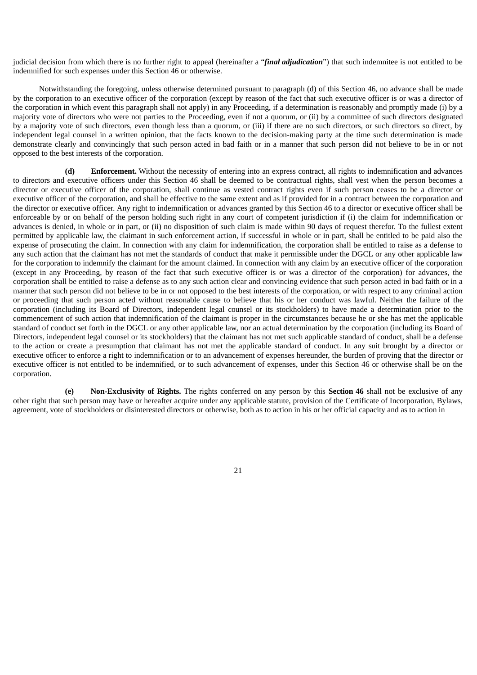judicial decision from which there is no further right to appeal (hereinafter a "*final adjudication*") that such indemnitee is not entitled to be indemnified for such expenses under this Section 46 or otherwise.

Notwithstanding the foregoing, unless otherwise determined pursuant to paragraph (d) of this Section 46, no advance shall be made by the corporation to an executive officer of the corporation (except by reason of the fact that such executive officer is or was a director of the corporation in which event this paragraph shall not apply) in any Proceeding, if a determination is reasonably and promptly made (i) by a majority vote of directors who were not parties to the Proceeding, even if not a quorum, or (ii) by a committee of such directors designated by a majority vote of such directors, even though less than a quorum, or (iii) if there are no such directors, or such directors so direct, by independent legal counsel in a written opinion, that the facts known to the decision-making party at the time such determination is made demonstrate clearly and convincingly that such person acted in bad faith or in a manner that such person did not believe to be in or not opposed to the best interests of the corporation.

**(d) Enforcement.** Without the necessity of entering into an express contract, all rights to indemnification and advances to directors and executive officers under this Section 46 shall be deemed to be contractual rights, shall vest when the person becomes a director or executive officer of the corporation, shall continue as vested contract rights even if such person ceases to be a director or executive officer of the corporation, and shall be effective to the same extent and as if provided for in a contract between the corporation and the director or executive officer. Any right to indemnification or advances granted by this Section 46 to a director or executive officer shall be enforceable by or on behalf of the person holding such right in any court of competent jurisdiction if (i) the claim for indemnification or advances is denied, in whole or in part, or (ii) no disposition of such claim is made within 90 days of request therefor. To the fullest extent permitted by applicable law, the claimant in such enforcement action, if successful in whole or in part, shall be entitled to be paid also the expense of prosecuting the claim. In connection with any claim for indemnification, the corporation shall be entitled to raise as a defense to any such action that the claimant has not met the standards of conduct that make it permissible under the DGCL or any other applicable law for the corporation to indemnify the claimant for the amount claimed. In connection with any claim by an executive officer of the corporation (except in any Proceeding, by reason of the fact that such executive officer is or was a director of the corporation) for advances, the corporation shall be entitled to raise a defense as to any such action clear and convincing evidence that such person acted in bad faith or in a manner that such person did not believe to be in or not opposed to the best interests of the corporation, or with respect to any criminal action or proceeding that such person acted without reasonable cause to believe that his or her conduct was lawful. Neither the failure of the corporation (including its Board of Directors, independent legal counsel or its stockholders) to have made a determination prior to the commencement of such action that indemnification of the claimant is proper in the circumstances because he or she has met the applicable standard of conduct set forth in the DGCL or any other applicable law, nor an actual determination by the corporation (including its Board of Directors, independent legal counsel or its stockholders) that the claimant has not met such applicable standard of conduct, shall be a defense to the action or create a presumption that claimant has not met the applicable standard of conduct. In any suit brought by a director or executive officer to enforce a right to indemnification or to an advancement of expenses hereunder, the burden of proving that the director or executive officer is not entitled to be indemnified, or to such advancement of expenses, under this Section 46 or otherwise shall be on the corporation.

**(e) Non-Exclusivity of Rights.** The rights conferred on any person by this **Section 46** shall not be exclusive of any other right that such person may have or hereafter acquire under any applicable statute, provision of the Certificate of Incorporation, Bylaws, agreement, vote of stockholders or disinterested directors or otherwise, both as to action in his or her official capacity and as to action in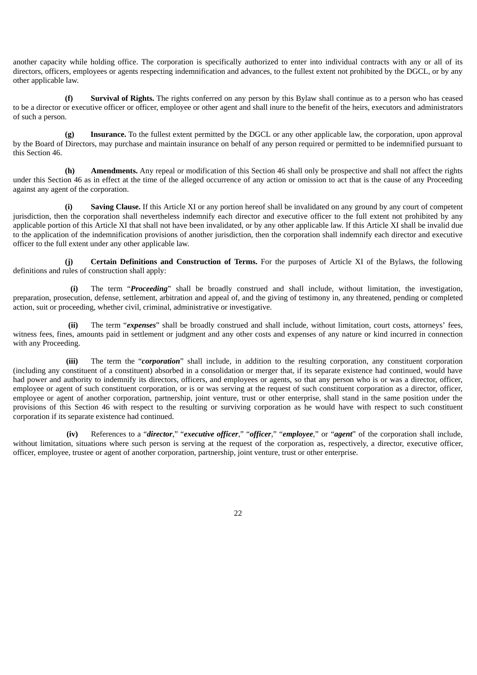another capacity while holding office. The corporation is specifically authorized to enter into individual contracts with any or all of its directors, officers, employees or agents respecting indemnification and advances, to the fullest extent not prohibited by the DGCL, or by any other applicable law.

**(f) Survival of Rights.** The rights conferred on any person by this Bylaw shall continue as to a person who has ceased to be a director or executive officer or officer, employee or other agent and shall inure to the benefit of the heirs, executors and administrators of such a person.

**(g) Insurance.** To the fullest extent permitted by the DGCL or any other applicable law, the corporation, upon approval by the Board of Directors, may purchase and maintain insurance on behalf of any person required or permitted to be indemnified pursuant to this Section 46.

**(h) Amendments.** Any repeal or modification of this Section 46 shall only be prospective and shall not affect the rights under this Section 46 as in effect at the time of the alleged occurrence of any action or omission to act that is the cause of any Proceeding against any agent of the corporation.

**(i) Saving Clause.** If this Article XI or any portion hereof shall be invalidated on any ground by any court of competent jurisdiction, then the corporation shall nevertheless indemnify each director and executive officer to the full extent not prohibited by any applicable portion of this Article XI that shall not have been invalidated, or by any other applicable law. If this Article XI shall be invalid due to the application of the indemnification provisions of another jurisdiction, then the corporation shall indemnify each director and executive officer to the full extent under any other applicable law.

**(j) Certain Definitions and Construction of Terms.** For the purposes of Article XI of the Bylaws, the following definitions and rules of construction shall apply:

**(i)** The term "*Proceeding*" shall be broadly construed and shall include, without limitation, the investigation, preparation, prosecution, defense, settlement, arbitration and appeal of, and the giving of testimony in, any threatened, pending or completed action, suit or proceeding, whether civil, criminal, administrative or investigative.

**(ii)** The term "*expenses*" shall be broadly construed and shall include, without limitation, court costs, attorneys' fees, witness fees, fines, amounts paid in settlement or judgment and any other costs and expenses of any nature or kind incurred in connection with any Proceeding.

**(iii)** The term the "*corporation*" shall include, in addition to the resulting corporation, any constituent corporation (including any constituent of a constituent) absorbed in a consolidation or merger that, if its separate existence had continued, would have had power and authority to indemnify its directors, officers, and employees or agents, so that any person who is or was a director, officer, employee or agent of such constituent corporation, or is or was serving at the request of such constituent corporation as a director, officer, employee or agent of another corporation, partnership, joint venture, trust or other enterprise, shall stand in the same position under the provisions of this Section 46 with respect to the resulting or surviving corporation as he would have with respect to such constituent corporation if its separate existence had continued.

**(iv)** References to a "*director*," "*executive officer*," "*officer*," "*employee*," or "*agent*" of the corporation shall include, without limitation, situations where such person is serving at the request of the corporation as, respectively, a director, executive officer, officer, employee, trustee or agent of another corporation, partnership, joint venture, trust or other enterprise.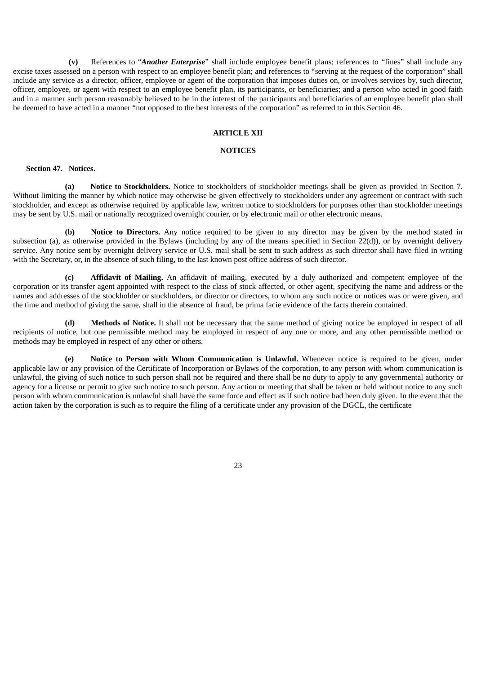**(v)** References to "*Another Enterprise*" shall include employee benefit plans; references to "fines" shall include any excise taxes assessed on a person with respect to an employee benefit plan; and references to "serving at the request of the corporation" shall include any service as a director, officer, employee or agent of the corporation that imposes duties on, or involves services by, such director, officer, employee, or agent with respect to an employee benefit plan, its participants, or beneficiaries; and a person who acted in good faith and in a manner such person reasonably believed to be in the interest of the participants and beneficiaries of an employee benefit plan shall be deemed to have acted in a manner "not opposed to the best interests of the corporation" as referred to in this Section 46.

# **ARTICLE XII**

#### **NOTICES**

#### **Section 47. Notices.**

**(a) Notice to Stockholders.** Notice to stockholders of stockholder meetings shall be given as provided in Section 7. Without limiting the manner by which notice may otherwise be given effectively to stockholders under any agreement or contract with such stockholder, and except as otherwise required by applicable law, written notice to stockholders for purposes other than stockholder meetings may be sent by U.S. mail or nationally recognized overnight courier, or by electronic mail or other electronic means.

**(b) Notice to Directors.** Any notice required to be given to any director may be given by the method stated in subsection (a), as otherwise provided in the Bylaws (including by any of the means specified in Section 22(d)), or by overnight delivery service. Any notice sent by overnight delivery service or U.S. mail shall be sent to such address as such director shall have filed in writing with the Secretary, or, in the absence of such filing, to the last known post office address of such director.

**(c) Affidavit of Mailing.** An affidavit of mailing, executed by a duly authorized and competent employee of the corporation or its transfer agent appointed with respect to the class of stock affected, or other agent, specifying the name and address or the names and addresses of the stockholder or stockholders, or director or directors, to whom any such notice or notices was or were given, and the time and method of giving the same, shall in the absence of fraud, be prima facie evidence of the facts therein contained.

**(d) Methods of Notice.** It shall not be necessary that the same method of giving notice be employed in respect of all recipients of notice, but one permissible method may be employed in respect of any one or more, and any other permissible method or methods may be employed in respect of any other or others.

**(e) Notice to Person with Whom Communication is Unlawful.** Whenever notice is required to be given, under applicable law or any provision of the Certificate of Incorporation or Bylaws of the corporation, to any person with whom communication is unlawful, the giving of such notice to such person shall not be required and there shall be no duty to apply to any governmental authority or agency for a license or permit to give such notice to such person. Any action or meeting that shall be taken or held without notice to any such person with whom communication is unlawful shall have the same force and effect as if such notice had been duly given. In the event that the action taken by the corporation is such as to require the filing of a certificate under any provision of the DGCL, the certificate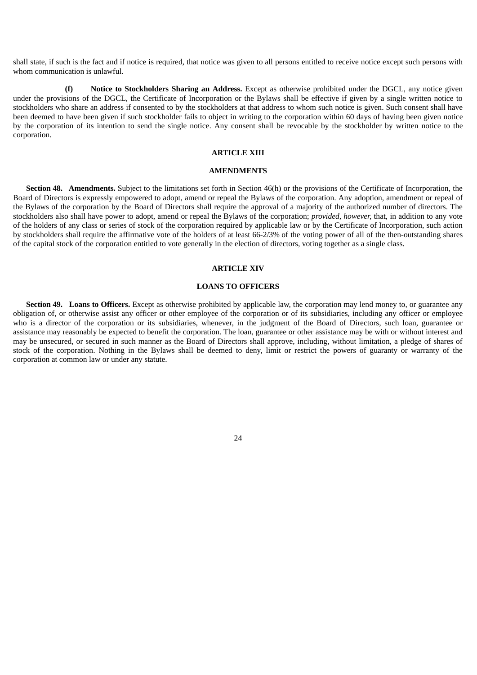shall state, if such is the fact and if notice is required, that notice was given to all persons entitled to receive notice except such persons with whom communication is unlawful.

**(f) Notice to Stockholders Sharing an Address.** Except as otherwise prohibited under the DGCL, any notice given under the provisions of the DGCL, the Certificate of Incorporation or the Bylaws shall be effective if given by a single written notice to stockholders who share an address if consented to by the stockholders at that address to whom such notice is given. Such consent shall have been deemed to have been given if such stockholder fails to object in writing to the corporation within 60 days of having been given notice by the corporation of its intention to send the single notice. Any consent shall be revocable by the stockholder by written notice to the corporation.

#### **ARTICLE XIII**

#### **AMENDMENTS**

**Section 48. Amendments.** Subject to the limitations set forth in Section 46(h) or the provisions of the Certificate of Incorporation, the Board of Directors is expressly empowered to adopt, amend or repeal the Bylaws of the corporation. Any adoption, amendment or repeal of the Bylaws of the corporation by the Board of Directors shall require the approval of a majority of the authorized number of directors. The stockholders also shall have power to adopt, amend or repeal the Bylaws of the corporation; *provided, however,* that, in addition to any vote of the holders of any class or series of stock of the corporation required by applicable law or by the Certificate of Incorporation, such action by stockholders shall require the affirmative vote of the holders of at least 66-2/3% of the voting power of all of the then-outstanding shares of the capital stock of the corporation entitled to vote generally in the election of directors, voting together as a single class.

#### **ARTICLE XIV**

#### **LOANS TO OFFICERS**

**Section 49. Loans to Officers.** Except as otherwise prohibited by applicable law, the corporation may lend money to, or guarantee any obligation of, or otherwise assist any officer or other employee of the corporation or of its subsidiaries, including any officer or employee who is a director of the corporation or its subsidiaries, whenever, in the judgment of the Board of Directors, such loan, guarantee or assistance may reasonably be expected to benefit the corporation. The loan, guarantee or other assistance may be with or without interest and may be unsecured, or secured in such manner as the Board of Directors shall approve, including, without limitation, a pledge of shares of stock of the corporation. Nothing in the Bylaws shall be deemed to deny, limit or restrict the powers of guaranty or warranty of the corporation at common law or under any statute.